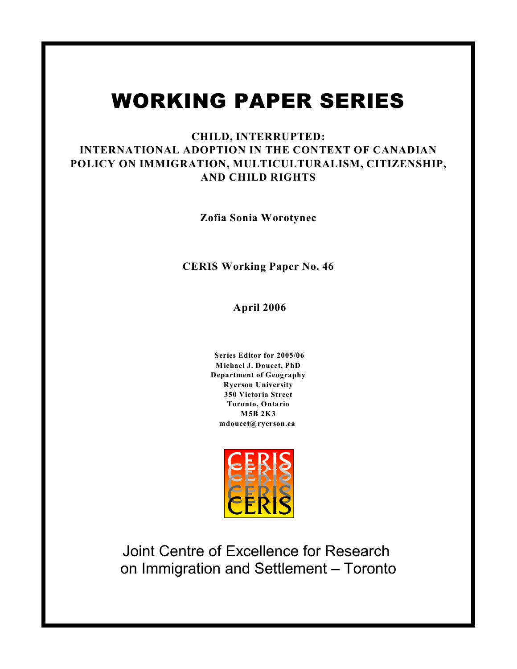# WORKING PAPER SERIES

# **CHILD, INTERRUPTED: INTERNATIONAL ADOPTION IN THE CONTEXT OF CANADIAN POLICY ON IMMIGRATION, MULTICULTURALISM, CITIZENSHIP, AND CHILD RIGHTS**

**Zofia Sonia Worotynec**

**CERIS Working Paper No. 46**

 **April 2006**

**Series Editor for 2005/06 Michael J. Doucet, PhD Department of Geography Ryerson University 350 Victoria Street Toronto, Ontario M5B 2K3 mdoucet@ryerson.ca** 



Joint Centre of Excellence for Research on Immigration and Settlement – Toronto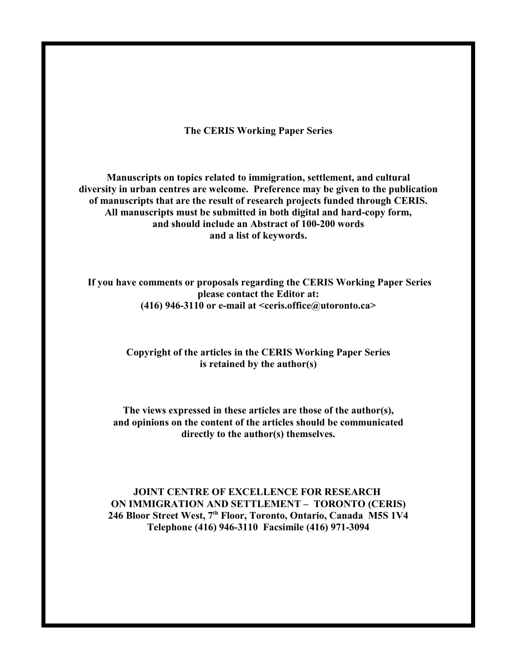**The CERIS Working Paper Series**

**Manuscripts on topics related to immigration, settlement, and cultural diversity in urban centres are welcome. Preference may be given to the publication of manuscripts that are the result of research projects funded through CERIS. All manuscripts must be submitted in both digital and hard-copy form, and should include an Abstract of 100-200 words and a list of keywords.**

**If you have comments or proposals regarding the CERIS Working Paper Series please contact the Editor at: (416) 946-3110 or e-mail at <ceris.office@utoronto.ca>**

# **Copyright of the articles in the CERIS Working Paper Series is retained by the author(s)**

**The views expressed in these articles are those of the author(s), and opinions on the content of the articles should be communicated directly to the author(s) themselves.**

# **JOINT CENTRE OF EXCELLENCE FOR RESEARCH ON IMMIGRATION AND SETTLEMENT – TORONTO (CERIS)** 246 Bloor Street West, 7<sup>th</sup> Floor, Toronto, Ontario, Canada M5S 1V4 **Telephone (416) 946-3110 Facsimile (416) 971-3094**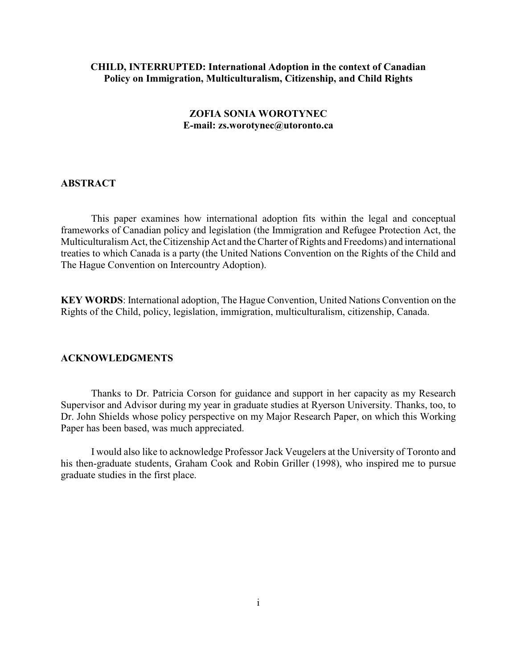# **CHILD, INTERRUPTED: International Adoption in the context of Canadian Policy on Immigration, Multiculturalism, Citizenship, and Child Rights**

# **ZOFIA SONIA WOROTYNEC E-mail: zs.worotynec@utoronto.ca**

## **ABSTRACT**

This paper examines how international adoption fits within the legal and conceptual frameworks of Canadian policy and legislation (the Immigration and Refugee Protection Act, the Multiculturalism Act, the Citizenship Act and the Charter of Rights and Freedoms) and international treaties to which Canada is a party (the United Nations Convention on the Rights of the Child and The Hague Convention on Intercountry Adoption).

**KEY WORDS**: International adoption, The Hague Convention, United Nations Convention on the Rights of the Child, policy, legislation, immigration, multiculturalism, citizenship, Canada.

# **ACKNOWLEDGMENTS**

Thanks to Dr. Patricia Corson for guidance and support in her capacity as my Research Supervisor and Advisor during my year in graduate studies at Ryerson University. Thanks, too, to Dr. John Shields whose policy perspective on my Major Research Paper, on which this Working Paper has been based, was much appreciated.

I would also like to acknowledge Professor Jack Veugelers at the University of Toronto and his then-graduate students, Graham Cook and Robin Griller (1998), who inspired me to pursue graduate studies in the first place.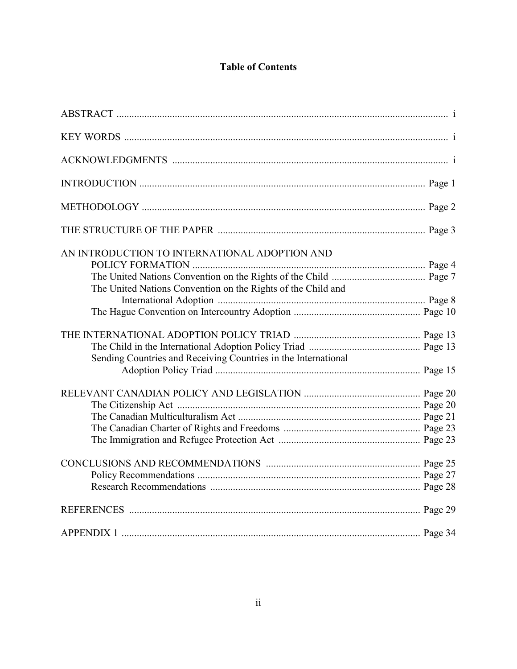# **Table of Contents**

| AN INTRODUCTION TO INTERNATIONAL ADOPTION AND                  |  |
|----------------------------------------------------------------|--|
|                                                                |  |
|                                                                |  |
| The United Nations Convention on the Rights of the Child and   |  |
|                                                                |  |
|                                                                |  |
|                                                                |  |
|                                                                |  |
| Sending Countries and Receiving Countries in the International |  |
|                                                                |  |
|                                                                |  |
|                                                                |  |
|                                                                |  |
|                                                                |  |
|                                                                |  |
|                                                                |  |
|                                                                |  |
|                                                                |  |
|                                                                |  |
|                                                                |  |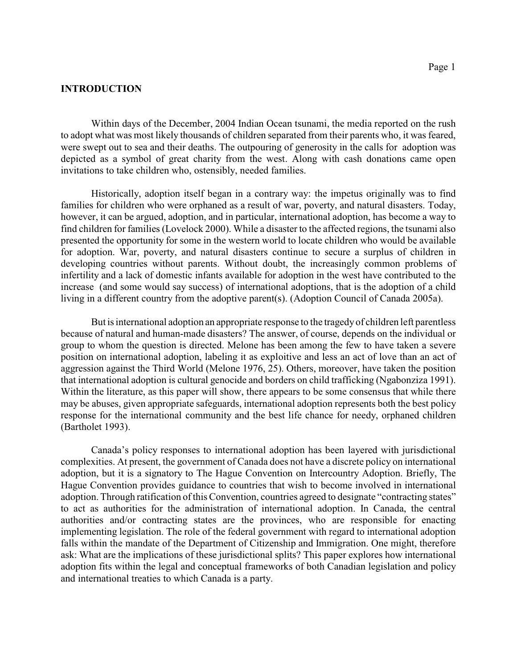# **INTRODUCTION**

Within days of the December, 2004 Indian Ocean tsunami, the media reported on the rush to adopt what was most likely thousands of children separated from their parents who, it was feared, were swept out to sea and their deaths. The outpouring of generosity in the calls for adoption was depicted as a symbol of great charity from the west. Along with cash donations came open invitations to take children who, ostensibly, needed families.

Historically, adoption itself began in a contrary way: the impetus originally was to find families for children who were orphaned as a result of war, poverty, and natural disasters. Today, however, it can be argued, adoption, and in particular, international adoption, has become a way to find children for families (Lovelock 2000). While a disaster to the affected regions, the tsunami also presented the opportunity for some in the western world to locate children who would be available for adoption. War, poverty, and natural disasters continue to secure a surplus of children in developing countries without parents. Without doubt, the increasingly common problems of infertility and a lack of domestic infants available for adoption in the west have contributed to the increase (and some would say success) of international adoptions, that is the adoption of a child living in a different country from the adoptive parent(s). (Adoption Council of Canada 2005a).

But is international adoption an appropriate response to the tragedy of children left parentless because of natural and human-made disasters? The answer, of course, depends on the individual or group to whom the question is directed. Melone has been among the few to have taken a severe position on international adoption, labeling it as exploitive and less an act of love than an act of aggression against the Third World (Melone 1976, 25). Others, moreover, have taken the position that international adoption is cultural genocide and borders on child trafficking (Ngabonziza 1991). Within the literature, as this paper will show, there appears to be some consensus that while there may be abuses, given appropriate safeguards, international adoption represents both the best policy response for the international community and the best life chance for needy, orphaned children (Bartholet 1993).

Canada's policy responses to international adoption has been layered with jurisdictional complexities. At present, the government of Canada does not have a discrete policy on international adoption, but it is a signatory to The Hague Convention on Intercountry Adoption. Briefly, The Hague Convention provides guidance to countries that wish to become involved in international adoption. Through ratification ofthis Convention, countries agreed to designate "contracting states" to act as authorities for the administration of international adoption. In Canada, the central authorities and/or contracting states are the provinces, who are responsible for enacting implementing legislation. The role of the federal government with regard to international adoption falls within the mandate of the Department of Citizenship and Immigration. One might, therefore ask: What are the implications of these jurisdictional splits? This paper explores how international adoption fits within the legal and conceptual frameworks of both Canadian legislation and policy and international treaties to which Canada is a party.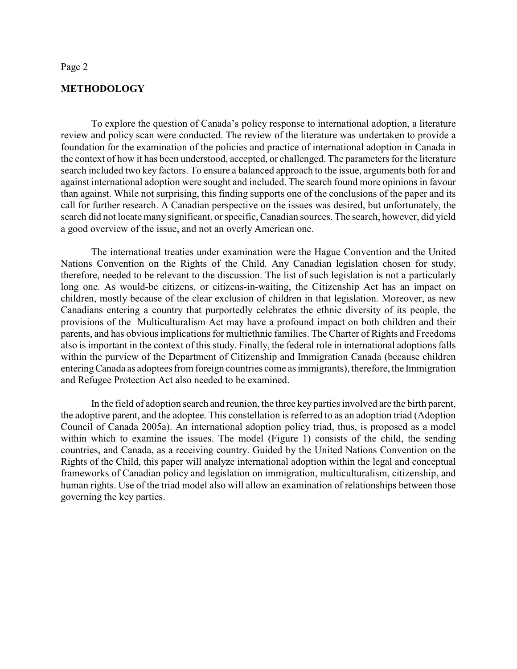# **METHODOLOGY**

To explore the question of Canada's policy response to international adoption, a literature review and policy scan were conducted. The review of the literature was undertaken to provide a foundation for the examination of the policies and practice of international adoption in Canada in the context of how it has been understood, accepted, or challenged. The parameters for the literature search included two key factors. To ensure a balanced approach to the issue, arguments both for and against international adoption were sought and included. The search found more opinions in favour than against. While not surprising, this finding supports one of the conclusions of the paper and its call for further research. A Canadian perspective on the issues was desired, but unfortunately, the search did not locate many significant, orspecific, Canadian sources. The search, however, did yield a good overview of the issue, and not an overly American one.

The international treaties under examination were the Hague Convention and the United Nations Convention on the Rights of the Child. Any Canadian legislation chosen for study, therefore, needed to be relevant to the discussion. The list of such legislation is not a particularly long one. As would-be citizens, or citizens-in-waiting, the Citizenship Act has an impact on children, mostly because of the clear exclusion of children in that legislation. Moreover, as new Canadians entering a country that purportedly celebrates the ethnic diversity of its people, the provisions of the Multiculturalism Act may have a profound impact on both children and their parents, and has obvious implications for multiethnic families. The Charter of Rights and Freedoms also is important in the context of this study. Finally, the federal role in international adoptions falls within the purview of the Department of Citizenship and Immigration Canada (because children entering Canada as adoptees from foreign countries come as immigrants), therefore, the Immigration and Refugee Protection Act also needed to be examined.

In the field of adoption search and reunion, the three key parties involved are the birth parent, the adoptive parent, and the adoptee. This constellation is referred to as an adoption triad (Adoption Council of Canada 2005a). An international adoption policy triad, thus, is proposed as a model within which to examine the issues. The model (Figure 1) consists of the child, the sending countries, and Canada, as a receiving country. Guided by the United Nations Convention on the Rights of the Child, this paper will analyze international adoption within the legal and conceptual frameworks of Canadian policy and legislation on immigration, multiculturalism, citizenship, and human rights. Use of the triad model also will allow an examination of relationships between those governing the key parties.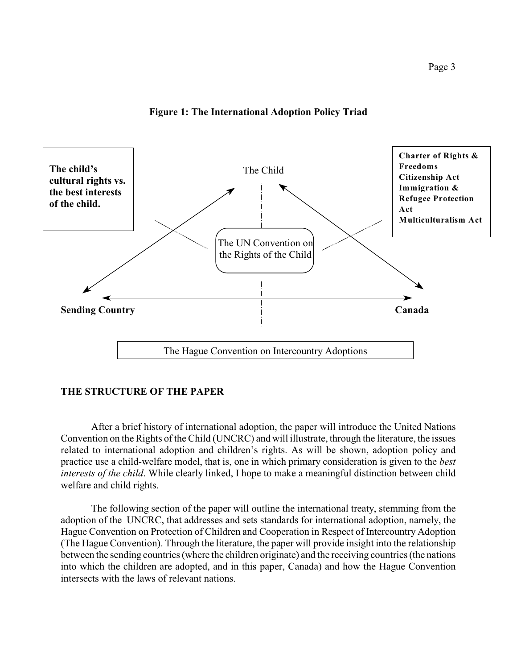# **Figure 1: The International Adoption Policy Triad**



# **THE STRUCTURE OF THE PAPER**

After a brief history of international adoption, the paper will introduce the United Nations Convention on the Rights of the Child (UNCRC) and will illustrate, through the literature, the issues related to international adoption and children's rights. As will be shown, adoption policy and practice use a child-welfare model, that is, one in which primary consideration is given to the *best interests of the child*. While clearly linked, I hope to make a meaningful distinction between child welfare and child rights.

The following section of the paper will outline the international treaty, stemming from the adoption of the UNCRC, that addresses and sets standards for international adoption, namely, the Hague Convention on Protection of Children and Cooperation in Respect of Intercountry Adoption (The Hague Convention). Through the literature, the paper will provide insight into the relationship between the sending countries (where the children originate) and the receiving countries (the nations into which the children are adopted, and in this paper, Canada) and how the Hague Convention intersects with the laws of relevant nations.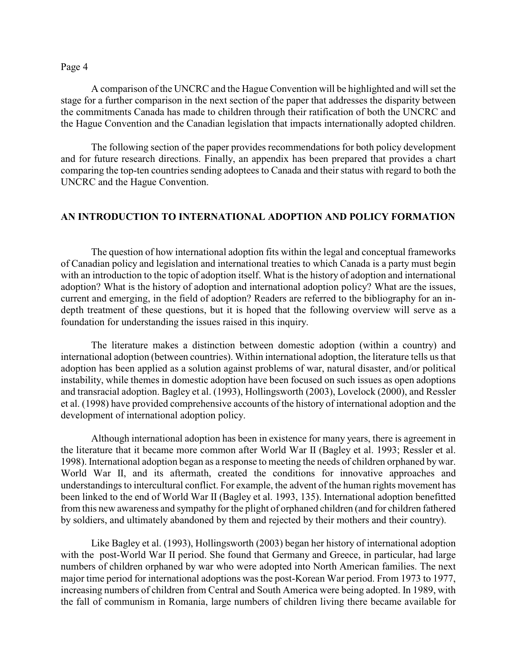A comparison of the UNCRC and the Hague Convention will be highlighted and will set the stage for a further comparison in the next section of the paper that addresses the disparity between the commitments Canada has made to children through their ratification of both the UNCRC and the Hague Convention and the Canadian legislation that impacts internationally adopted children.

The following section of the paper provides recommendations for both policy development and for future research directions. Finally, an appendix has been prepared that provides a chart comparing the top-ten countries sending adoptees to Canada and their status with regard to both the UNCRC and the Hague Convention.

# **AN INTRODUCTION TO INTERNATIONAL ADOPTION AND POLICY FORMATION**

The question of how international adoption fits within the legal and conceptual frameworks of Canadian policy and legislation and international treaties to which Canada is a party must begin with an introduction to the topic of adoption itself. What is the history of adoption and international adoption? What is the history of adoption and international adoption policy? What are the issues, current and emerging, in the field of adoption? Readers are referred to the bibliography for an indepth treatment of these questions, but it is hoped that the following overview will serve as a foundation for understanding the issues raised in this inquiry.

The literature makes a distinction between domestic adoption (within a country) and international adoption (between countries). Within international adoption, the literature tells us that adoption has been applied as a solution against problems of war, natural disaster, and/or political instability, while themes in domestic adoption have been focused on such issues as open adoptions and transracial adoption. Bagley et al. (1993), Hollingsworth (2003), Lovelock (2000), and Ressler et al. (1998) have provided comprehensive accounts of the history of international adoption and the development of international adoption policy.

Although international adoption has been in existence for many years, there is agreement in the literature that it became more common after World War II (Bagley et al. 1993; Ressler et al. 1998). International adoption began as a response to meeting the needs of children orphaned by war. World War II, and its aftermath, created the conditions for innovative approaches and understandings to intercultural conflict. For example, the advent of the human rights movement has been linked to the end of World War II (Bagley et al. 1993, 135). International adoption benefitted from this new awareness and sympathy for the plight of orphaned children (and for children fathered by soldiers, and ultimately abandoned by them and rejected by their mothers and their country).

Like Bagley et al. (1993), Hollingsworth (2003) began her history of international adoption with the post-World War II period. She found that Germany and Greece, in particular, had large numbers of children orphaned by war who were adopted into North American families. The next major time period for international adoptions was the post-Korean War period. From 1973 to 1977, increasing numbers of children from Central and South America were being adopted. In 1989, with the fall of communism in Romania, large numbers of children living there became available for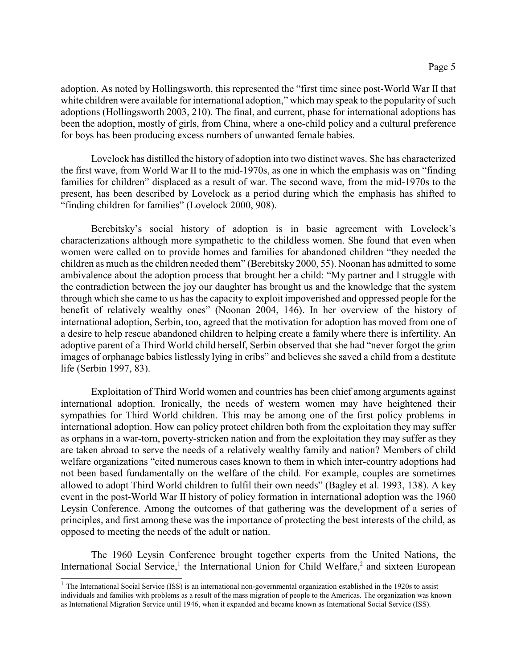adoption. As noted by Hollingsworth, this represented the "first time since post-World War II that white children were available for international adoption," which may speak to the popularity of such adoptions (Hollingsworth 2003, 210). The final, and current, phase for international adoptions has been the adoption, mostly of girls, from China, where a one-child policy and a cultural preference for boys has been producing excess numbers of unwanted female babies.

Lovelock has distilled the history of adoption into two distinct waves. She has characterized the first wave, from World War II to the mid-1970s, as one in which the emphasis was on "finding families for children" displaced as a result of war. The second wave, from the mid-1970s to the present, has been described by Lovelock as a period during which the emphasis has shifted to "finding children for families" (Lovelock 2000, 908).

Berebitsky's social history of adoption is in basic agreement with Lovelock's characterizations although more sympathetic to the childless women. She found that even when women were called on to provide homes and families for abandoned children "they needed the children as much as the children needed them" (Berebitsky 2000, 55). Noonan has admitted to some ambivalence about the adoption process that brought her a child: "My partner and I struggle with the contradiction between the joy our daughter has brought us and the knowledge that the system through which she came to us has the capacity to exploit impoverished and oppressed people for the benefit of relatively wealthy ones" (Noonan 2004, 146). In her overview of the history of international adoption, Serbin, too, agreed that the motivation for adoption has moved from one of a desire to help rescue abandoned children to helping create a family where there is infertility. An adoptive parent of a Third World child herself, Serbin observed that she had "never forgot the grim images of orphanage babies listlessly lying in cribs" and believes she saved a child from a destitute life (Serbin 1997, 83).

Exploitation of Third World women and countries has been chief among arguments against international adoption. Ironically, the needs of western women may have heightened their sympathies for Third World children. This may be among one of the first policy problems in international adoption. How can policy protect children both from the exploitation they may suffer as orphans in a war-torn, poverty-stricken nation and from the exploitation they may suffer as they are taken abroad to serve the needs of a relatively wealthy family and nation? Members of child welfare organizations "cited numerous cases known to them in which inter-country adoptions had not been based fundamentally on the welfare of the child. For example, couples are sometimes allowed to adopt Third World children to fulfil their own needs" (Bagley et al. 1993, 138). A key event in the post-World War II history of policy formation in international adoption was the 1960 Leysin Conference. Among the outcomes of that gathering was the development of a series of principles, and first among these was the importance of protecting the best interests of the child, as opposed to meeting the needs of the adult or nation.

The 1960 Leysin Conference brought together experts from the United Nations, the International Social Service,<sup>1</sup> the International Union for Child Welfare,<sup>2</sup> and sixteen European

 $1$  The International Social Service (ISS) is an international non-governmental organization established in the 1920s to assist individuals and families with problems as a result of the mass migration of people to the Americas. The organization was known as International Migration Service until 1946, when it expanded and became known as International Social Service (ISS).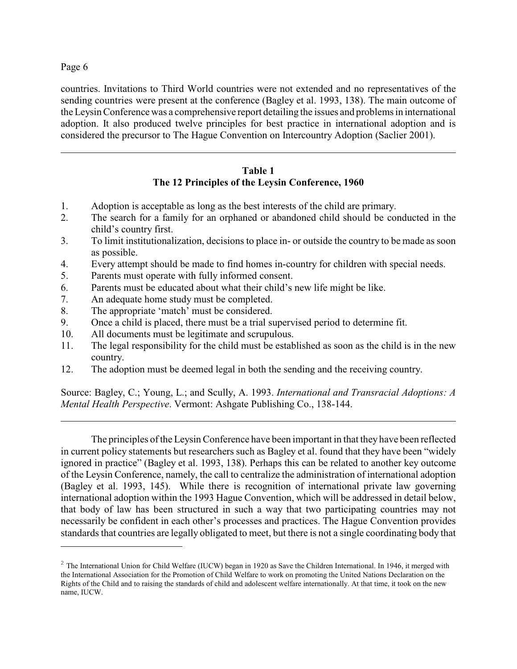countries. Invitations to Third World countries were not extended and no representatives of the sending countries were present at the conference (Bagley et al. 1993, 138). The main outcome of the Leysin Conference was a comprehensive report detailing the issues and problems in international adoption. It also produced twelve principles for best practice in international adoption and is considered the precursor to The Hague Convention on Intercountry Adoption (Saclier 2001).

# **Table 1 The 12 Principles of the Leysin Conference, 1960**

- 1. Adoption is acceptable as long as the best interests of the child are primary.
- 2. The search for a family for an orphaned or abandoned child should be conducted in the child's country first.
- 3. To limit institutionalization, decisions to place in- or outside the country to be made as soon as possible.
- 4. Every attempt should be made to find homes in-country for children with special needs.
- 5. Parents must operate with fully informed consent.
- 6. Parents must be educated about what their child's new life might be like.
- 7. An adequate home study must be completed.
- 8. The appropriate 'match' must be considered.
- 9. Once a child is placed, there must be a trial supervised period to determine fit.
- 10. All documents must be legitimate and scrupulous.
- 11. The legal responsibility for the child must be established as soon as the child is in the new country.
- 12. The adoption must be deemed legal in both the sending and the receiving country.

Source: Bagley, C.; Young, L.; and Scully, A. 1993. *International and Transracial Adoptions: A Mental Health Perspective*. Vermont: Ashgate Publishing Co., 138-144.

The principles of the Leysin Conference have been important in that they have been reflected in current policy statements but researchers such as Bagley et al. found that they have been "widely ignored in practice" (Bagley et al. 1993, 138). Perhaps this can be related to another key outcome of the Leysin Conference, namely, the call to centralize the administration of international adoption (Bagley et al. 1993, 145). While there is recognition of international private law governing international adoption within the 1993 Hague Convention, which will be addressed in detail below, that body of law has been structured in such a way that two participating countries may not necessarily be confident in each other's processes and practices. The Hague Convention provides standards that countries are legally obligated to meet, but there is not a single coordinating body that

 $2$  The International Union for Child Welfare (IUCW) began in 1920 as Save the Children International. In 1946, it merged with the International Association for the Promotion of Child Welfare to work on promoting the United Nations Declaration on the Rights of the Child and to raising the standards of child and adolescent welfare internationally. At that time, it took on the new name, IUCW.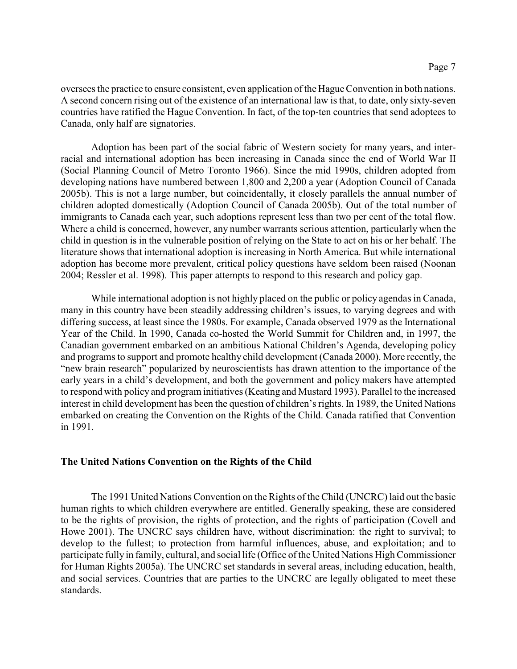oversees the practice to ensure consistent, even application of the Hague Convention in both nations. A second concern rising out of the existence of an international law is that, to date, only sixty-seven countries have ratified the Hague Convention. In fact, of the top-ten countries that send adoptees to Canada, only half are signatories.

Adoption has been part of the social fabric of Western society for many years, and interracial and international adoption has been increasing in Canada since the end of World War II (Social Planning Council of Metro Toronto 1966). Since the mid 1990s, children adopted from developing nations have numbered between 1,800 and 2,200 a year (Adoption Council of Canada 2005b). This is not a large number, but coincidentally, it closely parallels the annual number of children adopted domestically (Adoption Council of Canada 2005b). Out of the total number of immigrants to Canada each year, such adoptions represent less than two per cent of the total flow. Where a child is concerned, however, any number warrants serious attention, particularly when the child in question is in the vulnerable position of relying on the State to act on his or her behalf. The literature shows that international adoption is increasing in North America. But while international adoption has become more prevalent, critical policy questions have seldom been raised (Noonan 2004; Ressler et al. 1998). This paper attempts to respond to this research and policy gap.

While international adoption is not highly placed on the public or policy agendas in Canada, many in this country have been steadily addressing children's issues, to varying degrees and with differing success, at least since the 1980s. For example, Canada observed 1979 as the International Year of the Child. In 1990, Canada co-hosted the World Summit for Children and, in 1997, the Canadian government embarked on an ambitious National Children's Agenda, developing policy and programs to support and promote healthy child development (Canada 2000). More recently, the "new brain research" popularized by neuroscientists has drawn attention to the importance of the early years in a child's development, and both the government and policy makers have attempted to respond with policy and program initiatives (Keating and Mustard 1993). Parallel to the increased interest in child development has been the question of children's rights. In 1989, the United Nations embarked on creating the Convention on the Rights of the Child. Canada ratified that Convention in 1991.

# **The United Nations Convention on the Rights of the Child**

The 1991 United Nations Convention on the Rights of theChild (UNCRC) laid out the basic human rights to which children everywhere are entitled. Generally speaking, these are considered to be the rights of provision, the rights of protection, and the rights of participation (Covell and Howe 2001). The UNCRC says children have, without discrimination: the right to survival; to develop to the fullest; to protection from harmful influences, abuse, and exploitation; and to participate fully in family, cultural, and social life (Office of the United Nations High Commissioner for Human Rights 2005a). The UNCRC set standards in several areas, including education, health, and social services. Countries that are parties to the UNCRC are legally obligated to meet these standards.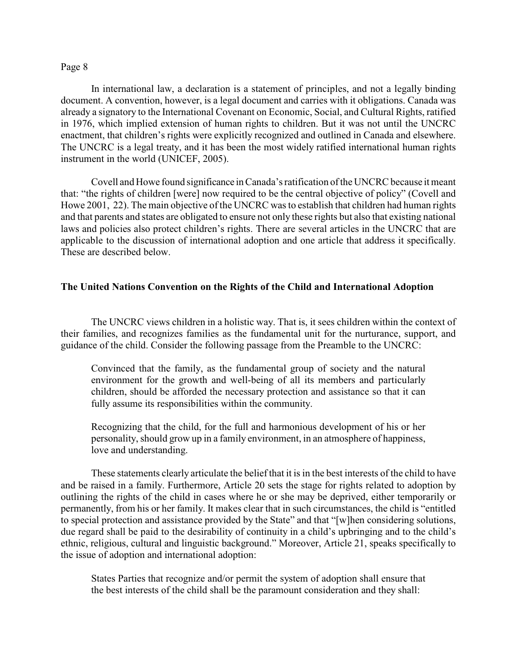In international law, a declaration is a statement of principles, and not a legally binding document. A convention, however, is a legal document and carries with it obligations. Canada was already a signatory to the International Covenant on Economic, Social, and Cultural Rights, ratified in 1976, which implied extension of human rights to children. But it was not until the UNCRC enactment, that children's rights were explicitly recognized and outlined in Canada and elsewhere. The UNCRC is a legal treaty, and it has been the most widely ratified international human rights instrument in the world (UNICEF, 2005).

Covell and Howe found significance in Canada's ratification of the UNCRC because it meant that: "the rights of children [were] now required to be the central objective of policy" (Covell and Howe 2001, 22). The main objective of the UNCRC was to establish that children had human rights and that parents and states are obligated to ensure not only these rights but also that existing national laws and policies also protect children's rights. There are several articles in the UNCRC that are applicable to the discussion of international adoption and one article that address it specifically. These are described below.

# **The United Nations Convention on the Rights of the Child and International Adoption**

The UNCRC views children in a holistic way. That is, it sees children within the context of their families, and recognizes families as the fundamental unit for the nurturance, support, and guidance of the child. Consider the following passage from the Preamble to the UNCRC:

Convinced that the family, as the fundamental group of society and the natural environment for the growth and well-being of all its members and particularly children, should be afforded the necessary protection and assistance so that it can fully assume its responsibilities within the community.

Recognizing that the child, for the full and harmonious development of his or her personality, should grow up in a family environment, in an atmosphere of happiness, love and understanding.

These statements clearly articulate the belief that it is in the best interests of the child to have and be raised in a family. Furthermore, Article 20 sets the stage for rights related to adoption by outlining the rights of the child in cases where he or she may be deprived, either temporarily or permanently, from his or her family. It makes clear that in such circumstances, the child is "entitled to special protection and assistance provided by the State" and that "[w]hen considering solutions, due regard shall be paid to the desirability of continuity in a child's upbringing and to the child's ethnic, religious, cultural and linguistic background." Moreover, Article 21, speaks specifically to the issue of adoption and international adoption:

States Parties that recognize and/or permit the system of adoption shall ensure that the best interests of the child shall be the paramount consideration and they shall: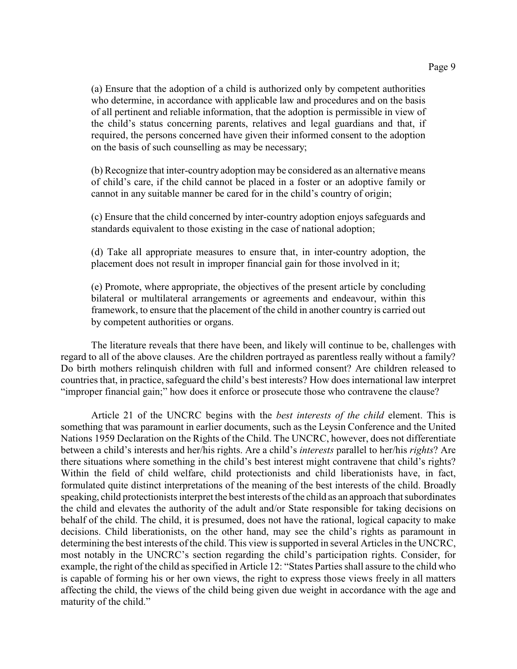(a) Ensure that the adoption of a child is authorized only by competent authorities who determine, in accordance with applicable law and procedures and on the basis of all pertinent and reliable information, that the adoption is permissible in view of the child's status concerning parents, relatives and legal guardians and that, if required, the persons concerned have given their informed consent to the adoption on the basis of such counselling as may be necessary;

(b) Recognize that inter-country adoption may be considered as an alternative means of child's care, if the child cannot be placed in a foster or an adoptive family or cannot in any suitable manner be cared for in the child's country of origin;

(c) Ensure that the child concerned by inter-country adoption enjoys safeguards and standards equivalent to those existing in the case of national adoption;

(d) Take all appropriate measures to ensure that, in inter-country adoption, the placement does not result in improper financial gain for those involved in it;

(e) Promote, where appropriate, the objectives of the present article by concluding bilateral or multilateral arrangements or agreements and endeavour, within this framework, to ensure that the placement of the child in another country is carried out by competent authorities or organs.

The literature reveals that there have been, and likely will continue to be, challenges with regard to all of the above clauses. Are the children portrayed as parentless really without a family? Do birth mothers relinquish children with full and informed consent? Are children released to countries that, in practice, safeguard the child's best interests? How does international law interpret "improper financial gain;" how does it enforce or prosecute those who contravene the clause?

Article 21 of the UNCRC begins with the *best interests of the child* element. This is something that was paramount in earlier documents, such as the Leysin Conference and the United Nations 1959 Declaration on the Rights of the Child. The UNCRC, however, does not differentiate between a child's interests and her/his rights. Are a child's *interests* parallel to her/his *rights*? Are there situations where something in the child's best interest might contravene that child's rights? Within the field of child welfare, child protectionists and child liberationists have, in fact, formulated quite distinct interpretations of the meaning of the best interests of the child. Broadly speaking, child protectionists interpret the best interests of the child as an approach that subordinates the child and elevates the authority of the adult and/or State responsible for taking decisions on behalf of the child. The child, it is presumed, does not have the rational, logical capacity to make decisions. Child liberationists, on the other hand, may see the child's rights as paramount in determining the best interests of the child. This view is supported in several Articles in the UNCRC, most notably in the UNCRC's section regarding the child's participation rights. Consider, for example, the right of the child as specified in Article 12: "States Parties shall assure to the child who is capable of forming his or her own views, the right to express those views freely in all matters affecting the child, the views of the child being given due weight in accordance with the age and maturity of the child."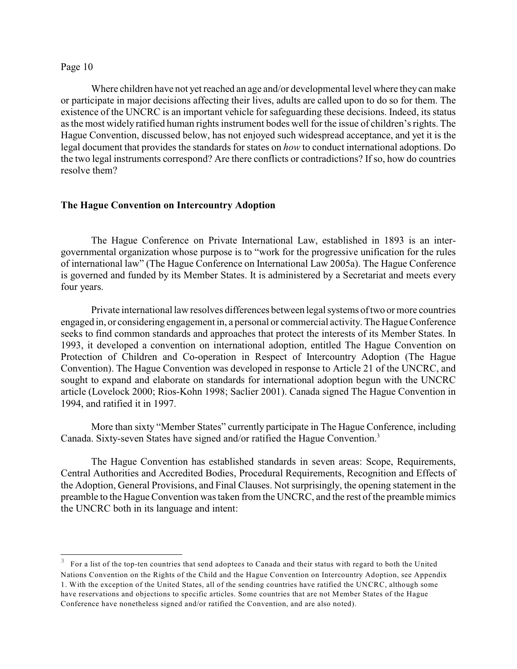Where children have not yet reached an age and/or developmental level where they can make or participate in major decisions affecting their lives, adults are called upon to do so for them. The existence of the UNCRC is an important vehicle for safeguarding these decisions. Indeed, its status as the most widely ratified human rights instrument bodes well for the issue of children's rights. The Hague Convention, discussed below, has not enjoyed such widespread acceptance, and yet it is the legal document that provides the standards for states on *how* to conduct international adoptions. Do the two legal instruments correspond? Are there conflicts or contradictions? If so, how do countries resolve them?

## **The Hague Convention on Intercountry Adoption**

The Hague Conference on Private International Law, established in 1893 is an intergovernmental organization whose purpose is to "work for the progressive unification for the rules of international law" (The Hague Conference on International Law 2005a). The Hague Conference is governed and funded by its Member States. It is administered by a Secretariat and meets every four years.

Private international law resolves differences between legal systems of two or more countries engaged in, or considering engagement in, a personal or commercial activity. The Hague Conference seeks to find common standards and approaches that protect the interests of its Member States. In 1993, it developed a convention on international adoption, entitled The Hague Convention on Protection of Children and Co-operation in Respect of Intercountry Adoption (The Hague Convention). The Hague Convention was developed in response to Article 21 of the UNCRC, and sought to expand and elaborate on standards for international adoption begun with the UNCRC article (Lovelock 2000; Rios-Kohn 1998; Saclier 2001). Canada signed The Hague Convention in 1994, and ratified it in 1997.

More than sixty "Member States" currently participate in The Hague Conference, including Canada. Sixty-seven States have signed and/or ratified the Hague Convention.<sup>3</sup>

The Hague Convention has established standards in seven areas: Scope, Requirements, Central Authorities and Accredited Bodies, Procedural Requirements, Recognition and Effects of the Adoption, General Provisions, and Final Clauses. Not surprisingly, the opening statement in the preamble to the Hague Convention was taken from the UNCRC, and the rest of the preamble mimics the UNCRC both in its language and intent:

For a list of the top-ten countries that send adoptees to Canada and their status with regard to both the United Nations Convention on the Rights of the Child and the Hague Convention on Intercountry Adoption, see Appendix 1. With the exception of the United States, all of the sending countries have ratified the UNCRC, although some have reservations and objections to specific articles. Some countries that are not Member States of the Hague Conference have nonetheless signed and/or ratified the Convention, and are also noted).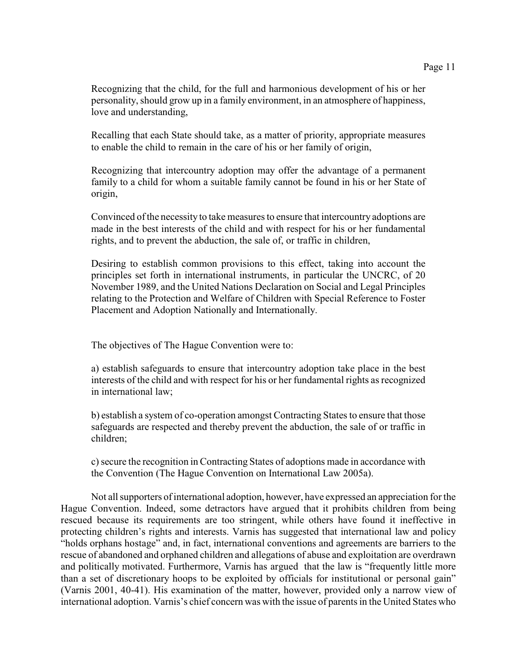Recognizing that the child, for the full and harmonious development of his or her personality, should grow up in a family environment, in an atmosphere of happiness, love and understanding,

Recalling that each State should take, as a matter of priority, appropriate measures to enable the child to remain in the care of his or her family of origin,

Recognizing that intercountry adoption may offer the advantage of a permanent family to a child for whom a suitable family cannot be found in his or her State of origin,

Convinced of the necessity to take measures to ensure that intercountry adoptions are made in the best interests of the child and with respect for his or her fundamental rights, and to prevent the abduction, the sale of, or traffic in children,

Desiring to establish common provisions to this effect, taking into account the principles set forth in international instruments, in particular the UNCRC, of 20 November 1989, and the United Nations Declaration on Social and Legal Principles relating to the Protection and Welfare of Children with Special Reference to Foster Placement and Adoption Nationally and Internationally.

The objectives of The Hague Convention were to:

a) establish safeguards to ensure that intercountry adoption take place in the best interests of the child and with respect for his or her fundamental rights as recognized in international law;

b) establish a system of co-operation amongst Contracting States to ensure that those safeguards are respected and thereby prevent the abduction, the sale of or traffic in children;

c) secure the recognition in Contracting States of adoptions made in accordance with the Convention (The Hague Convention on International Law 2005a).

Not all supporters of international adoption, however, have expressed an appreciation for the Hague Convention. Indeed, some detractors have argued that it prohibits children from being rescued because its requirements are too stringent, while others have found it ineffective in protecting children's rights and interests. Varnis has suggested that international law and policy "holds orphans hostage" and, in fact, international conventions and agreements are barriers to the rescue of abandoned and orphaned children and allegations of abuse and exploitation are overdrawn and politically motivated. Furthermore, Varnis has argued that the law is "frequently little more than a set of discretionary hoops to be exploited by officials for institutional or personal gain" (Varnis 2001, 40-41). His examination of the matter, however, provided only a narrow view of international adoption. Varnis's chief concern was with the issue of parents in the United States who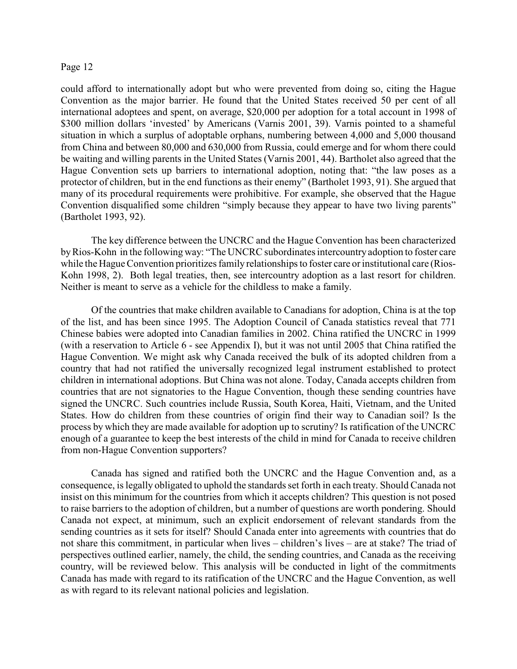could afford to internationally adopt but who were prevented from doing so, citing the Hague Convention as the major barrier. He found that the United States received 50 per cent of all international adoptees and spent, on average, \$20,000 per adoption for a total account in 1998 of \$300 million dollars 'invested' by Americans (Varnis 2001, 39). Varnis pointed to a shameful situation in which a surplus of adoptable orphans, numbering between 4,000 and 5,000 thousand from China and between 80,000 and 630,000 from Russia, could emerge and for whom there could be waiting and willing parents in the United States (Varnis 2001, 44). Bartholet also agreed that the Hague Convention sets up barriers to international adoption, noting that: "the law poses as a protector of children, but in the end functions as their enemy" (Bartholet 1993, 91). She argued that many of its procedural requirements were prohibitive. For example, she observed that the Hague Convention disqualified some children "simply because they appear to have two living parents" (Bartholet 1993, 92).

The key difference between the UNCRC and the Hague Convention has been characterized by Rios-Kohn in the following way: "The UNCRC subordinates intercountry adoption to foster care while the Hague Convention prioritizes family relationships to foster care or institutional care (Rios-Kohn 1998, 2). Both legal treaties, then, see intercountry adoption as a last resort for children. Neither is meant to serve as a vehicle for the childless to make a family.

Of the countries that make children available to Canadians for adoption, China is at the top of the list, and has been since 1995. The Adoption Council of Canada statistics reveal that 771 Chinese babies were adopted into Canadian families in 2002. China ratified the UNCRC in 1999 (with a reservation to Article 6 - see Appendix I), but it was not until 2005 that China ratified the Hague Convention. We might ask why Canada received the bulk of its adopted children from a country that had not ratified the universally recognized legal instrument established to protect children in international adoptions. But China was not alone. Today, Canada accepts children from countries that are not signatories to the Hague Convention, though these sending countries have signed the UNCRC. Such countries include Russia, South Korea, Haiti, Vietnam, and the United States. How do children from these countries of origin find their way to Canadian soil? Is the process by which they are made available for adoption up to scrutiny? Is ratification of the UNCRC enough of a guarantee to keep the best interests of the child in mind for Canada to receive children from non-Hague Convention supporters?

Canada has signed and ratified both the UNCRC and the Hague Convention and, as a consequence, is legally obligated to uphold the standards set forth in each treaty. Should Canada not insist on this minimum for the countries from which it accepts children? This question is not posed to raise barriers to the adoption of children, but a number of questions are worth pondering. Should Canada not expect, at minimum, such an explicit endorsement of relevant standards from the sending countries as it sets for itself? Should Canada enter into agreements with countries that do not share this commitment, in particular when lives – children's lives – are at stake? The triad of perspectives outlined earlier, namely, the child, the sending countries, and Canada as the receiving country, will be reviewed below. This analysis will be conducted in light of the commitments Canada has made with regard to its ratification of the UNCRC and the Hague Convention, as well as with regard to its relevant national policies and legislation.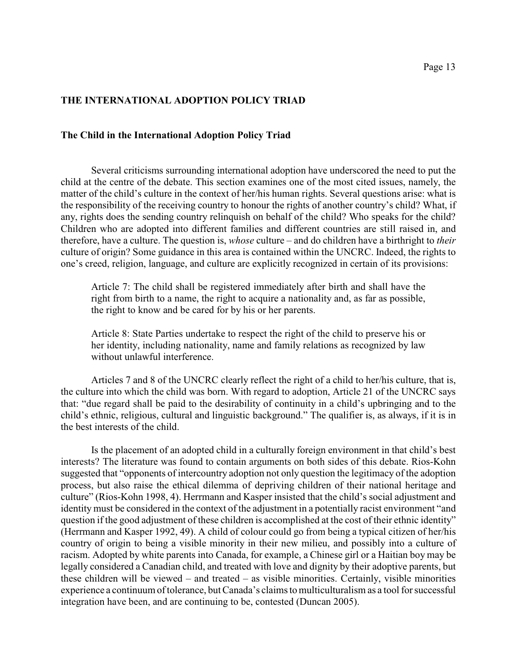# **THE INTERNATIONAL ADOPTION POLICY TRIAD**

# **The Child in the International Adoption Policy Triad**

Several criticisms surrounding international adoption have underscored the need to put the child at the centre of the debate. This section examines one of the most cited issues, namely, the matter of the child's culture in the context of her/his human rights. Several questions arise: what is the responsibility of the receiving country to honour the rights of another country's child? What, if any, rights does the sending country relinquish on behalf of the child? Who speaks for the child? Children who are adopted into different families and different countries are still raised in, and therefore, have a culture. The question is, *whose* culture – and do children have a birthright to *their* culture of origin? Some guidance in this area is contained within the UNCRC. Indeed, the rights to one's creed, religion, language, and culture are explicitly recognized in certain of its provisions:

Article 7: The child shall be registered immediately after birth and shall have the right from birth to a name, the right to acquire a nationality and, as far as possible, the right to know and be cared for by his or her parents.

Article 8: State Parties undertake to respect the right of the child to preserve his or her identity, including nationality, name and family relations as recognized by law without unlawful interference.

Articles 7 and 8 of the UNCRC clearly reflect the right of a child to her/his culture, that is, the culture into which the child was born. With regard to adoption, Article 21 of the UNCRC says that: "due regard shall be paid to the desirability of continuity in a child's upbringing and to the child's ethnic, religious, cultural and linguistic background." The qualifier is, as always, if it is in the best interests of the child.

Is the placement of an adopted child in a culturally foreign environment in that child's best interests? The literature was found to contain arguments on both sides of this debate. Rios-Kohn suggested that "opponents of intercountry adoption not only question the legitimacy of the adoption process, but also raise the ethical dilemma of depriving children of their national heritage and culture" (Rios-Kohn 1998, 4). Herrmann and Kasper insisted that the child's social adjustment and identity must be considered in the context of the adjustment in a potentially racist environment "and question if the good adjustment of these children is accomplished at the cost of their ethnic identity" (Herrmann and Kasper 1992, 49). A child of colour could go from being a typical citizen of her/his country of origin to being a visible minority in their new milieu, and possibly into a culture of racism. Adopted by white parents into Canada, for example, a Chinese girl or a Haitian boy may be legally considered a Canadian child, and treated with love and dignity by their adoptive parents, but these children will be viewed – and treated – as visible minorities. Certainly, visible minorities experience a continuum of tolerance, but Canada's claims to multiculturalism as a tool for successful integration have been, and are continuing to be, contested (Duncan 2005).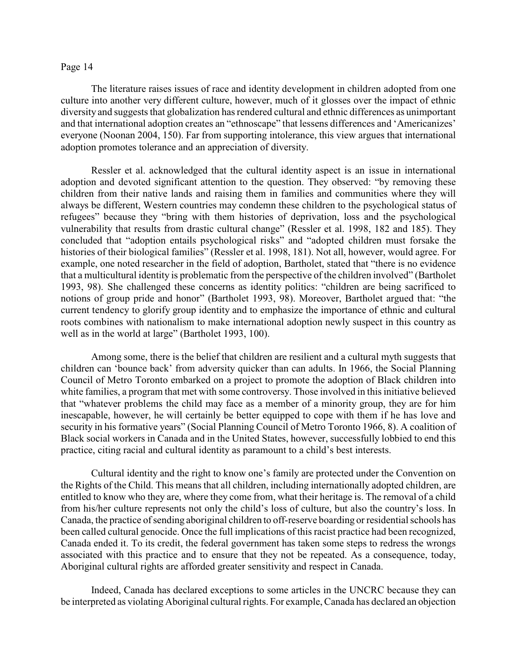The literature raises issues of race and identity development in children adopted from one culture into another very different culture, however, much of it glosses over the impact of ethnic diversity and suggests that globalization has rendered cultural and ethnic differences as unimportant and that international adoption creates an "ethnoscape" that lessens differences and 'Americanizes' everyone (Noonan 2004, 150). Far from supporting intolerance, this view argues that international adoption promotes tolerance and an appreciation of diversity.

Ressler et al. acknowledged that the cultural identity aspect is an issue in international adoption and devoted significant attention to the question. They observed: "by removing these children from their native lands and raising them in families and communities where they will always be different, Western countries may condemn these children to the psychological status of refugees" because they "bring with them histories of deprivation, loss and the psychological vulnerability that results from drastic cultural change" (Ressler et al. 1998, 182 and 185). They concluded that "adoption entails psychological risks" and "adopted children must forsake the histories of their biological families" (Ressler et al. 1998, 181). Not all, however, would agree. For example, one noted researcher in the field of adoption, Bartholet, stated that "there is no evidence that a multicultural identity is problematic from the perspective of the children involved" (Bartholet 1993, 98). She challenged these concerns as identity politics: "children are being sacrificed to notions of group pride and honor" (Bartholet 1993, 98). Moreover, Bartholet argued that: "the current tendency to glorify group identity and to emphasize the importance of ethnic and cultural roots combines with nationalism to make international adoption newly suspect in this country as well as in the world at large" (Bartholet 1993, 100).

Among some, there is the belief that children are resilient and a cultural myth suggests that children can 'bounce back' from adversity quicker than can adults. In 1966, the Social Planning Council of Metro Toronto embarked on a project to promote the adoption of Black children into white families, a program that met with some controversy. Those involved in this initiative believed that "whatever problems the child may face as a member of a minority group, they are for him inescapable, however, he will certainly be better equipped to cope with them if he has love and security in his formative years" (Social Planning Council of Metro Toronto 1966, 8). A coalition of Black social workers in Canada and in the United States, however, successfully lobbied to end this practice, citing racial and cultural identity as paramount to a child's best interests.

Cultural identity and the right to know one's family are protected under the Convention on the Rights of the Child. This means that all children, including internationally adopted children, are entitled to know who they are, where they come from, what their heritage is. The removal of a child from his/her culture represents not only the child's loss of culture, but also the country's loss. In Canada, the practice of sending aboriginal children to off-reserve boarding or residential schools has been called cultural genocide. Once the full implications of this racist practice had been recognized, Canada ended it. To its credit, the federal government has taken some steps to redress the wrongs associated with this practice and to ensure that they not be repeated. As a consequence, today, Aboriginal cultural rights are afforded greater sensitivity and respect in Canada.

Indeed, Canada has declared exceptions to some articles in the UNCRC because they can be interpreted as violating Aboriginal cultural rights. For example, Canada has declared an objection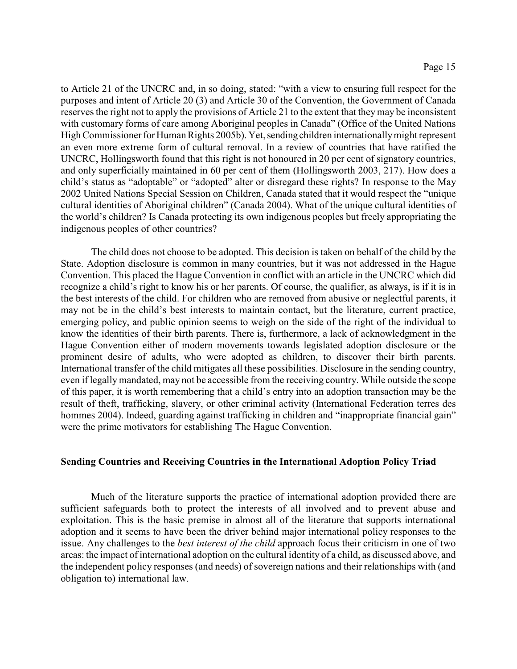to Article 21 of the UNCRC and, in so doing, stated: "with a view to ensuring full respect for the purposes and intent of Article 20 (3) and Article 30 of the Convention, the Government of Canada reserves the right not to apply the provisions of Article 21 to the extent that theymay be inconsistent with customary forms of care among Aboriginal peoples in Canada" (Office of the United Nations High Commissioner for Human Rights 2005b). Yet, sending children internationally might represent an even more extreme form of cultural removal. In a review of countries that have ratified the UNCRC, Hollingsworth found that this right is not honoured in 20 per cent of signatory countries, and only superficially maintained in 60 per cent of them (Hollingsworth 2003, 217). How does a child's status as "adoptable" or "adopted" alter or disregard these rights? In response to the May 2002 United Nations Special Session on Children, Canada stated that it would respect the "unique cultural identities of Aboriginal children" (Canada 2004). What of the unique cultural identities of the world's children? Is Canada protecting its own indigenous peoples but freely appropriating the indigenous peoples of other countries?

The child does not choose to be adopted. This decision is taken on behalf of the child by the State. Adoption disclosure is common in many countries, but it was not addressed in the Hague Convention. This placed the Hague Convention in conflict with an article in the UNCRC which did recognize a child's right to know his or her parents. Of course, the qualifier, as always, is if it is in the best interests of the child. For children who are removed from abusive or neglectful parents, it may not be in the child's best interests to maintain contact, but the literature, current practice, emerging policy, and public opinion seems to weigh on the side of the right of the individual to know the identities of their birth parents. There is, furthermore, a lack of acknowledgment in the Hague Convention either of modern movements towards legislated adoption disclosure or the prominent desire of adults, who were adopted as children, to discover their birth parents. International transfer of the child mitigates all these possibilities. Disclosure in the sending country, even if legally mandated, may not be accessible from the receiving country. While outside the scope of this paper, it is worth remembering that a child's entry into an adoption transaction may be the result of theft, trafficking, slavery, or other criminal activity (International Federation terres des hommes 2004). Indeed, guarding against trafficking in children and "inappropriate financial gain" were the prime motivators for establishing The Hague Convention.

# **Sending Countries and Receiving Countries in the International Adoption Policy Triad**

Much of the literature supports the practice of international adoption provided there are sufficient safeguards both to protect the interests of all involved and to prevent abuse and exploitation. This is the basic premise in almost all of the literature that supports international adoption and it seems to have been the driver behind major international policy responses to the issue. Any challenges to the *best interest of the child* approach focus their criticism in one of two areas: the impact of international adoption on the cultural identity of a child, as discussed above, and the independent policy responses (and needs) of sovereign nations and their relationships with (and obligation to) international law.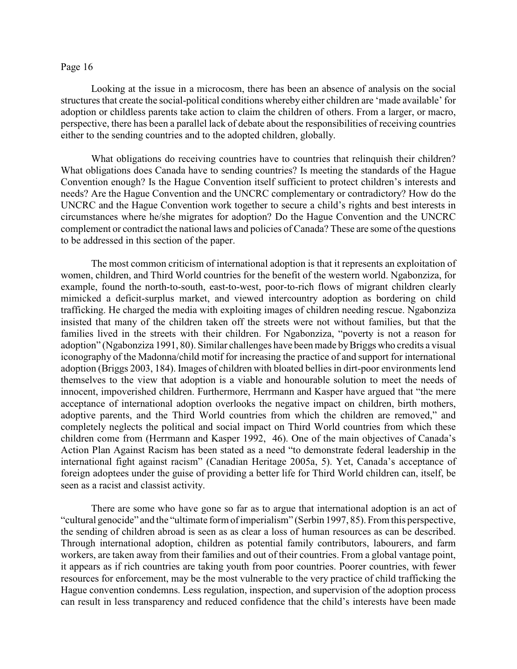Looking at the issue in a microcosm, there has been an absence of analysis on the social structures that create the social-political conditions whereby either children are 'made available' for adoption or childless parents take action to claim the children of others. From a larger, or macro, perspective, there has been a parallel lack of debate about the responsibilities of receiving countries either to the sending countries and to the adopted children, globally.

What obligations do receiving countries have to countries that relinquish their children? What obligations does Canada have to sending countries? Is meeting the standards of the Hague Convention enough? Is the Hague Convention itself sufficient to protect children's interests and needs? Are the Hague Convention and the UNCRC complementary or contradictory? How do the UNCRC and the Hague Convention work together to secure a child's rights and best interests in circumstances where he/she migrates for adoption? Do the Hague Convention and the UNCRC complement or contradict the national laws and policies of Canada? These are some of the questions to be addressed in this section of the paper.

The most common criticism of international adoption is that it represents an exploitation of women, children, and Third World countries for the benefit of the western world. Ngabonziza, for example, found the north-to-south, east-to-west, poor-to-rich flows of migrant children clearly mimicked a deficit-surplus market, and viewed intercountry adoption as bordering on child trafficking. He charged the media with exploiting images of children needing rescue. Ngabonziza insisted that many of the children taken off the streets were not without families, but that the families lived in the streets with their children. For Ngabonziza, "poverty is not a reason for adoption" (Ngabonziza 1991, 80). Similar challenges have been made by Briggs who credits a visual iconography of the Madonna/child motif for increasing the practice of and support for international adoption (Briggs 2003, 184). Images of children with bloated bellies in dirt-poor environments lend themselves to the view that adoption is a viable and honourable solution to meet the needs of innocent, impoverished children. Furthermore, Herrmann and Kasper have argued that "the mere acceptance of international adoption overlooks the negative impact on children, birth mothers, adoptive parents, and the Third World countries from which the children are removed," and completely neglects the political and social impact on Third World countries from which these children come from (Herrmann and Kasper 1992, 46). One of the main objectives of Canada's Action Plan Against Racism has been stated as a need "to demonstrate federal leadership in the international fight against racism" (Canadian Heritage 2005a, 5). Yet, Canada's acceptance of foreign adoptees under the guise of providing a better life for Third World children can, itself, be seen as a racist and classist activity.

There are some who have gone so far as to argue that international adoption is an act of "cultural genocide" and the "ultimate form of imperialism" (Serbin 1997, 85). From this perspective, the sending of children abroad is seen as as clear a loss of human resources as can be described. Through international adoption, children as potential family contributors, labourers, and farm workers, are taken away from their families and out of their countries. From a global vantage point, it appears as if rich countries are taking youth from poor countries. Poorer countries, with fewer resources for enforcement, may be the most vulnerable to the very practice of child trafficking the Hague convention condemns. Less regulation, inspection, and supervision of the adoption process can result in less transparency and reduced confidence that the child's interests have been made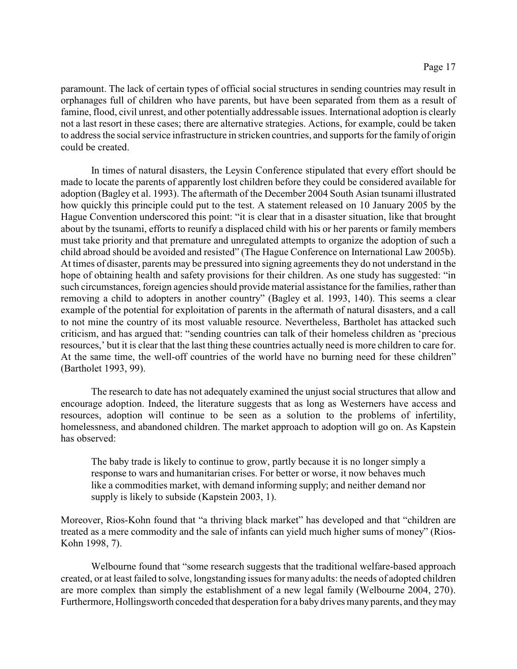paramount. The lack of certain types of official social structures in sending countries may result in orphanages full of children who have parents, but have been separated from them as a result of famine, flood, civil unrest, and other potentially addressable issues. International adoption is clearly not a last resort in these cases; there are alternative strategies. Actions, for example, could be taken to address the social service infrastructure in stricken countries, and supports for the family of origin could be created.

In times of natural disasters, the Leysin Conference stipulated that every effort should be made to locate the parents of apparently lost children before they could be considered available for adoption (Bagley et al. 1993). The aftermath of the December 2004 South Asian tsunami illustrated how quickly this principle could put to the test. A statement released on 10 January 2005 by the Hague Convention underscored this point: "it is clear that in a disaster situation, like that brought about by the tsunami, efforts to reunify a displaced child with his or her parents or family members must take priority and that premature and unregulated attempts to organize the adoption of such a child abroad should be avoided and resisted" (The Hague Conference on International Law 2005b). At times of disaster, parents may be pressured into signing agreements they do not understand in the hope of obtaining health and safety provisions for their children. As one study has suggested: "in such circumstances, foreign agencies should provide material assistance for the families, rather than removing a child to adopters in another country" (Bagley et al. 1993, 140). This seems a clear example of the potential for exploitation of parents in the aftermath of natural disasters, and a call to not mine the country of its most valuable resource. Nevertheless, Bartholet has attacked such criticism, and has argued that: "sending countries can talk of their homeless children as 'precious resources,' but it is clear that the last thing these countries actually need is more children to care for. At the same time, the well-off countries of the world have no burning need for these children" (Bartholet 1993, 99).

The research to date has not adequately examined the unjust social structures that allow and encourage adoption. Indeed, the literature suggests that as long as Westerners have access and resources, adoption will continue to be seen as a solution to the problems of infertility, homelessness, and abandoned children. The market approach to adoption will go on. As Kapstein has observed:

The baby trade is likely to continue to grow, partly because it is no longer simply a response to wars and humanitarian crises. For better or worse, it now behaves much like a commodities market, with demand informing supply; and neither demand nor supply is likely to subside (Kapstein 2003, 1).

Moreover, Rios-Kohn found that "a thriving black market" has developed and that "children are treated as a mere commodity and the sale of infants can yield much higher sums of money" (Rios-Kohn 1998, 7).

Welbourne found that "some research suggests that the traditional welfare-based approach created, or at least failed to solve, longstanding issues for many adults: the needs of adopted children are more complex than simply the establishment of a new legal family (Welbourne 2004, 270). Furthermore, Hollingsworth conceded that desperation for a baby drives many parents, and they may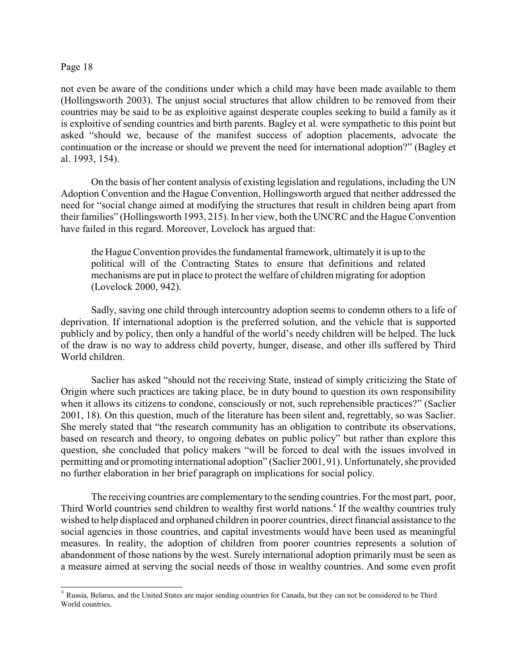not even be aware of the conditions under which a child may have been made available to them (Hollingsworth 2003). The unjust social structures that allow children to be removed from their countries may be said to be as exploitive against desperate couples seeking to build a family as it is exploitive of sending countries and birth parents. Bagley et al. were sympathetic to this point but asked "should we, because of the manifest success of adoption placements, advocate the continuation or the increase or should we prevent the need for international adoption?" (Bagley et al. 1993, 154).

On the basis of her content analysis of existing legislation and regulations, including the UN Adoption Convention and the Hague Convention, Hollingsworth argued that neither addressed the need for "social change aimed at modifying the structures that result in children being apart from their families" (Hollingsworth 1993, 215). In her view, both the UNCRC and the Hague Convention have failed in this regard. Moreover, Lovelock has argued that:

the Hague Convention provides the fundamental framework, ultimately it is up to the political will of the Contracting States to ensure that definitions and related mechanisms are put in place to protect the welfare of children migrating for adoption (Lovelock 2000, 942).

Sadly, saving one child through intercountry adoption seems to condemn others to a life of deprivation. If international adoption is the preferred solution, and the vehicle that is supported publicly and by policy, then only a handful of the world's needy children will be helped. The luck of the draw is no way to address child poverty, hunger, disease, and other ills suffered by Third World children.

Saclier has asked "should not the receiving State, instead of simply criticizing the State of Origin where such practices are taking place, be in duty bound to question its own responsibility when it allows its citizens to condone, consciously or not, such reprehensible practices?" (Saclier 2001, 18). On this question, much of the literature has been silent and, regrettably, so was Saclier. She merely stated that "the research community has an obligation to contribute its observations, based on research and theory, to ongoing debates on public policy" but rather than explore this question, she concluded that policy makers "will be forced to deal with the issues involved in permitting and or promoting international adoption" (Saclier 2001, 91). Unfortunately, she provided no further elaboration in her brief paragraph on implications for social policy.

The receiving countries are complementary to the sending countries. For the most part, poor, Third World countries send children to wealthy first world nations.<sup>4</sup> If the wealthy countries truly wished to help displaced and orphaned children in poorer countries, direct financial assistance to the social agencies in those countries, and capital investments would have been used as meaningful measures. In reality, the adoption of children from poorer countries represents a solution of abandonment of those nations by the west. Surely international adoption primarily must be seen as a measure aimed at serving the social needs of those in wealthy countries. And some even profit

 $4$  Russia, Belarus, and the United States are major sending countries for Canada, but they can not be considered to be Third World countries.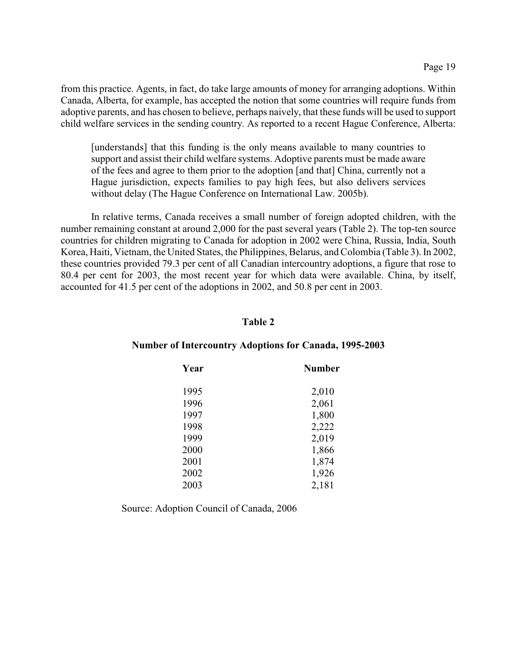from this practice. Agents, in fact, do take large amounts of money for arranging adoptions. Within Canada, Alberta, for example, has accepted the notion that some countries will require funds from adoptive parents, and has chosen to believe, perhaps naively, that these funds will be used to support child welfare services in the sending country. As reported to a recent Hague Conference, Alberta:

[understands] that this funding is the only means available to many countries to support and assist their child welfare systems. Adoptive parents must be made aware of the fees and agree to them prior to the adoption [and that] China, currently not a Hague jurisdiction, expects families to pay high fees, but also delivers services without delay (The Hague Conference on International Law. 2005b).

In relative terms, Canada receives a small number of foreign adopted children, with the number remaining constant at around 2,000 for the past several years (Table 2). The top-ten source countries for children migrating to Canada for adoption in 2002 were China, Russia, India, South Korea, Haiti, Vietnam, the United States, the Philippines, Belarus, and Colombia (Table 3). In 2002, these countries provided 79.3 per cent of all Canadian intercountry adoptions, a figure that rose to 80.4 per cent for 2003, the most recent year for which data were available. China, by itself, accounted for 41.5 per cent of the adoptions in 2002, and 50.8 per cent in 2003.

#### **Table 2**

#### **Number of Intercountry Adoptions for Canada, 1995-2003**

| Year | <b>Number</b> |
|------|---------------|
| 1995 | 2,010         |
| 1996 | 2,061         |
| 1997 | 1,800         |
| 1998 | 2,222         |
| 1999 | 2,019         |
| 2000 | 1,866         |
| 2001 | 1,874         |
| 2002 | 1,926         |
| 2003 | 2,181         |

Source: Adoption Council of Canada, 2006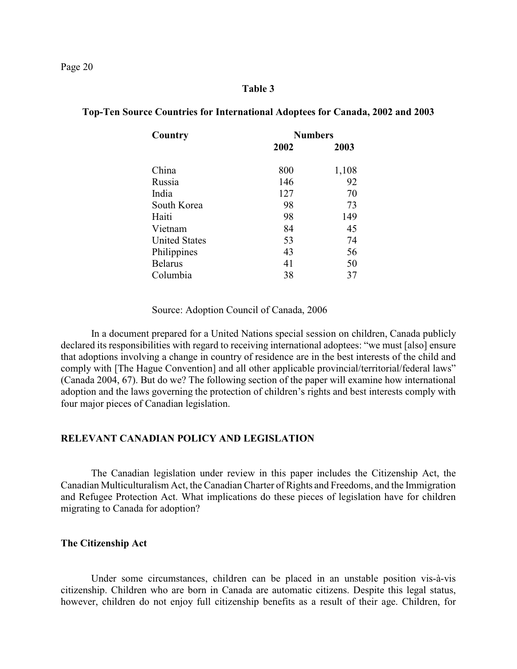#### **Table 3**

| Country              | <b>Numbers</b> |       |
|----------------------|----------------|-------|
|                      | 2002           | 2003  |
|                      |                |       |
| China                | 800            | 1,108 |
| Russia               | 146            | 92    |
| India                | 127            | 70    |
| South Korea          | 98             | 73    |
| Haiti                | 98             | 149   |
| Vietnam              | 84             | 45    |
| <b>United States</b> | 53             | 74    |
| Philippines          | 43             | 56    |
| <b>Belarus</b>       | 41             | 50    |
| Columbia             | 38             | 37    |

# **Top-Ten Source Countries for International Adoptees for Canada, 2002 and 2003**

Source: Adoption Council of Canada, 2006

In a document prepared for a United Nations special session on children, Canada publicly declared its responsibilities with regard to receiving international adoptees: "we must [also] ensure that adoptions involving a change in country of residence are in the best interests of the child and comply with [The Hague Convention] and all other applicable provincial/territorial/federal laws" (Canada 2004, 67). But do we? The following section of the paper will examine how international adoption and the laws governing the protection of children's rights and best interests comply with four major pieces of Canadian legislation.

# **RELEVANT CANADIAN POLICY AND LEGISLATION**

The Canadian legislation under review in this paper includes the Citizenship Act, the Canadian Multiculturalism Act, the Canadian Charter of Rights and Freedoms, and the Immigration and Refugee Protection Act. What implications do these pieces of legislation have for children migrating to Canada for adoption?

# **The Citizenship Act**

Under some circumstances, children can be placed in an unstable position vis-à-vis citizenship. Children who are born in Canada are automatic citizens. Despite this legal status, however, children do not enjoy full citizenship benefits as a result of their age. Children, for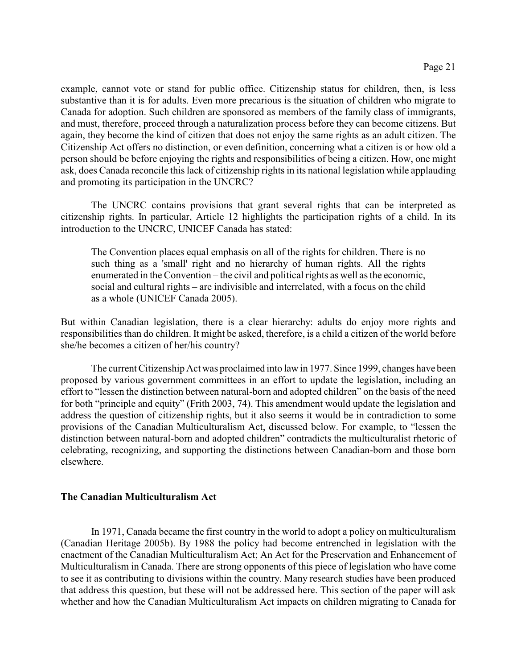example, cannot vote or stand for public office. Citizenship status for children, then, is less substantive than it is for adults. Even more precarious is the situation of children who migrate to Canada for adoption. Such children are sponsored as members of the family class of immigrants, and must, therefore, proceed through a naturalization process before they can become citizens. But again, they become the kind of citizen that does not enjoy the same rights as an adult citizen. The Citizenship Act offers no distinction, or even definition, concerning what a citizen is or how old a person should be before enjoying the rights and responsibilities of being a citizen. How, one might ask, does Canada reconcile this lack of citizenship rights in its national legislation while applauding and promoting its participation in the UNCRC?

The UNCRC contains provisions that grant several rights that can be interpreted as citizenship rights. In particular, Article 12 highlights the participation rights of a child. In its introduction to the UNCRC, UNICEF Canada has stated:

The Convention places equal emphasis on all of the rights for children. There is no such thing as a 'small' right and no hierarchy of human rights. All the rights enumerated in the Convention – the civil and political rights as well as the economic, social and cultural rights – are indivisible and interrelated, with a focus on the child as a whole (UNICEF Canada 2005).

But within Canadian legislation, there is a clear hierarchy: adults do enjoy more rights and responsibilities than do children. It might be asked, therefore, is a child a citizen of the world before she/he becomes a citizen of her/his country?

The current Citizenship Act was proclaimed into law in 1977. Since 1999, changes have been proposed by various government committees in an effort to update the legislation, including an effort to "lessen the distinction between natural-born and adopted children" on the basis of the need for both "principle and equity" (Frith 2003, 74). This amendment would update the legislation and address the question of citizenship rights, but it also seems it would be in contradiction to some provisions of the Canadian Multiculturalism Act, discussed below. For example, to "lessen the distinction between natural-born and adopted children" contradicts the multiculturalist rhetoric of celebrating, recognizing, and supporting the distinctions between Canadian-born and those born elsewhere.

# **The Canadian Multiculturalism Act**

In 1971, Canada became the first country in the world to adopt a policy on multiculturalism (Canadian Heritage 2005b). By 1988 the policy had become entrenched in legislation with the enactment of the Canadian Multiculturalism Act; An Act for the Preservation and Enhancement of Multiculturalism in Canada. There are strong opponents of this piece of legislation who have come to see it as contributing to divisions within the country. Many research studies have been produced that address this question, but these will not be addressed here. This section of the paper will ask whether and how the Canadian Multiculturalism Act impacts on children migrating to Canada for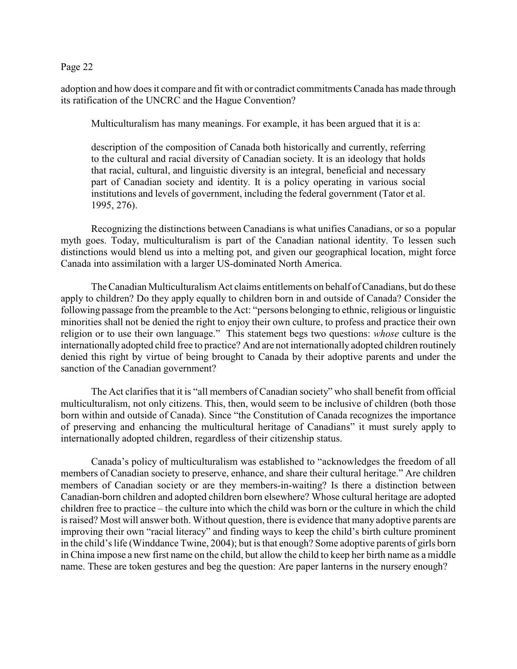adoption and how does it compare and fit with or contradict commitments Canada has made through its ratification of the UNCRC and the Hague Convention?

Multiculturalism has many meanings. For example, it has been argued that it is a:

description of the composition of Canada both historically and currently, referring to the cultural and racial diversity of Canadian society. It is an ideology that holds that racial, cultural, and linguistic diversity is an integral, beneficial and necessary part of Canadian society and identity. It is a policy operating in various social institutions and levels of government, including the federal government (Tator et al. 1995, 276).

Recognizing the distinctions between Canadians is what unifies Canadians, or so a popular myth goes. Today, multiculturalism is part of the Canadian national identity. To lessen such distinctions would blend us into a melting pot, and given our geographical location, might force Canada into assimilation with a larger US-dominated North America.

The Canadian Multiculturalism Act claims entitlements on behalf of Canadians, but do these apply to children? Do they apply equally to children born in and outside of Canada? Consider the following passage from the preamble to the Act: "persons belonging to ethnic, religious or linguistic minorities shall not be denied the right to enjoy their own culture, to profess and practice their own religion or to use their own language." This statement begs two questions: *whose* culture is the internationally adopted child free to practice? And are not internationally adopted children routinely denied this right by virtue of being brought to Canada by their adoptive parents and under the sanction of the Canadian government?

The Act clarifies that it is "all members of Canadian society" who shall benefit from official multiculturalism, not only citizens. This, then, would seem to be inclusive of children (both those born within and outside of Canada). Since "the Constitution of Canada recognizes the importance of preserving and enhancing the multicultural heritage of Canadians" it must surely apply to internationally adopted children, regardless of their citizenship status.

Canada's policy of multiculturalism was established to "acknowledges the freedom of all members of Canadian society to preserve, enhance, and share their cultural heritage." Are children members of Canadian society or are they members-in-waiting? Is there a distinction between Canadian-born children and adopted children born elsewhere? Whose cultural heritage are adopted children free to practice – the culture into which the child was born or the culture in which the child is raised? Most will answer both. Without question, there is evidence that many adoptive parents are improving their own "racial literacy" and finding ways to keep the child's birth culture prominent in the child's life (Winddance Twine, 2004); but is that enough? Some adoptive parents of girls born in China impose a new first name on the child, but allow the child to keep her birth name as a middle name. These are token gestures and beg the question: Are paper lanterns in the nursery enough?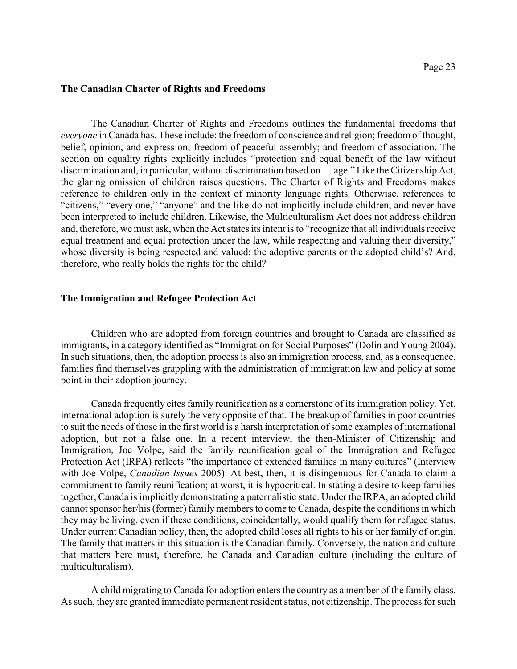## **The Canadian Charter of Rights and Freedoms**

The Canadian Charter of Rights and Freedoms outlines the fundamental freedoms that *everyone* in Canada has. These include: the freedom of conscience and religion; freedom of thought, belief, opinion, and expression; freedom of peaceful assembly; and freedom of association. The section on equality rights explicitly includes "protection and equal benefit of the law without discrimination and, in particular, without discrimination based on … age." Like the Citizenship Act, the glaring omission of children raises questions. The Charter of Rights and Freedoms makes reference to children only in the context of minority language rights. Otherwise, references to "citizens," "every one," "anyone" and the like do not implicitly include children, and never have been interpreted to include children. Likewise, the Multiculturalism Act does not address children and, therefore, we must ask, when the Act states its intent is to "recognize that all individuals receive equal treatment and equal protection under the law, while respecting and valuing their diversity," whose diversity is being respected and valued: the adoptive parents or the adopted child's? And, therefore, who really holds the rights for the child?

#### **The Immigration and Refugee Protection Act**

Children who are adopted from foreign countries and brought to Canada are classified as immigrants, in a category identified as "Immigration for Social Purposes" (Dolin and Young 2004). In such situations, then, the adoption process is also an immigration process, and, as a consequence, families find themselves grappling with the administration of immigration law and policy at some point in their adoption journey.

Canada frequently cites family reunification as a cornerstone of its immigration policy. Yet, international adoption is surely the very opposite of that. The breakup of families in poor countries to suit the needs of those in the first world is a harsh interpretation of some examples of international adoption, but not a false one. In a recent interview, the then-Minister of Citizenship and Immigration, Joe Volpe, said the family reunification goal of the Immigration and Refugee Protection Act (IRPA) reflects "the importance of extended families in many cultures" (Interview with Joe Volpe, *Canadian Issues* 2005). At best, then, it is disingenuous for Canada to claim a commitment to family reunification; at worst, it is hypocritical. In stating a desire to keep families together, Canada is implicitly demonstrating a paternalistic state. Under the IRPA, an adopted child cannot sponsor her/his (former) family members to come to Canada, despite the conditions in which they may be living, even if these conditions, coincidentally, would qualify them for refugee status. Under current Canadian policy, then, the adopted child loses all rights to his or her family of origin. The family that matters in this situation is the Canadian family. Conversely, the nation and culture that matters here must, therefore, be Canada and Canadian culture (including the culture of multiculturalism).

A child migrating to Canada for adoption enters the country as a member of the family class. As such, they are granted immediate permanent resident status, not citizenship. The process for such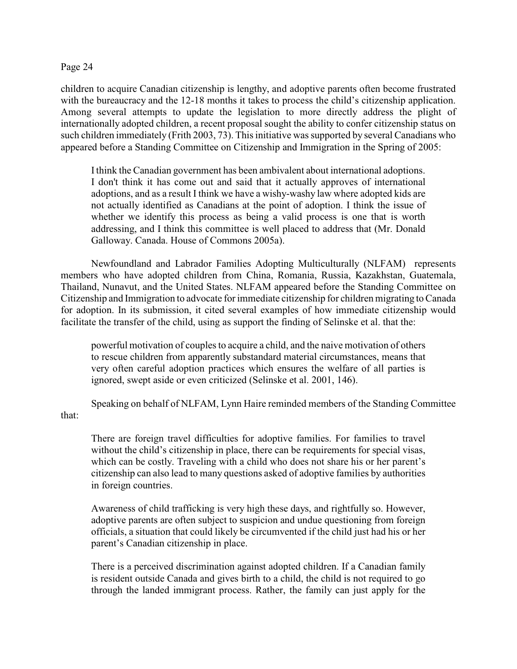children to acquire Canadian citizenship is lengthy, and adoptive parents often become frustrated with the bureaucracy and the 12-18 months it takes to process the child's citizenship application. Among several attempts to update the legislation to more directly address the plight of internationally adopted children, a recent proposal sought the ability to confer citizenship status on such children immediately (Frith 2003, 73). This initiative was supported by several Canadians who appeared before a Standing Committee on Citizenship and Immigration in the Spring of 2005:

I think the Canadian government has been ambivalent about international adoptions. I don't think it has come out and said that it actually approves of international adoptions, and as a result I think we have a wishy-washy law where adopted kids are not actually identified as Canadians at the point of adoption. I think the issue of whether we identify this process as being a valid process is one that is worth addressing, and I think this committee is well placed to address that (Mr. Donald Galloway. Canada. House of Commons 2005a).

Newfoundland and Labrador Families Adopting Multiculturally (NLFAM) represents members who have adopted children from China, Romania, Russia, Kazakhstan, Guatemala, Thailand, Nunavut, and the United States. NLFAM appeared before the Standing Committee on Citizenship and Immigration to advocate for immediate citizenship for children migrating to Canada for adoption. In its submission, it cited several examples of how immediate citizenship would facilitate the transfer of the child, using as support the finding of Selinske et al. that the:

powerful motivation of couples to acquire a child, and the naive motivation of others to rescue children from apparently substandard material circumstances, means that very often careful adoption practices which ensures the welfare of all parties is ignored, swept aside or even criticized (Selinske et al. 2001, 146).

Speaking on behalf of NLFAM, Lynn Haire reminded members of the Standing Committee that:

There are foreign travel difficulties for adoptive families. For families to travel without the child's citizenship in place, there can be requirements for special visas, which can be costly. Traveling with a child who does not share his or her parent's citizenship can also lead to many questions asked of adoptive families by authorities in foreign countries.

Awareness of child trafficking is very high these days, and rightfully so. However, adoptive parents are often subject to suspicion and undue questioning from foreign officials, a situation that could likely be circumvented if the child just had his or her parent's Canadian citizenship in place.

There is a perceived discrimination against adopted children. If a Canadian family is resident outside Canada and gives birth to a child, the child is not required to go through the landed immigrant process. Rather, the family can just apply for the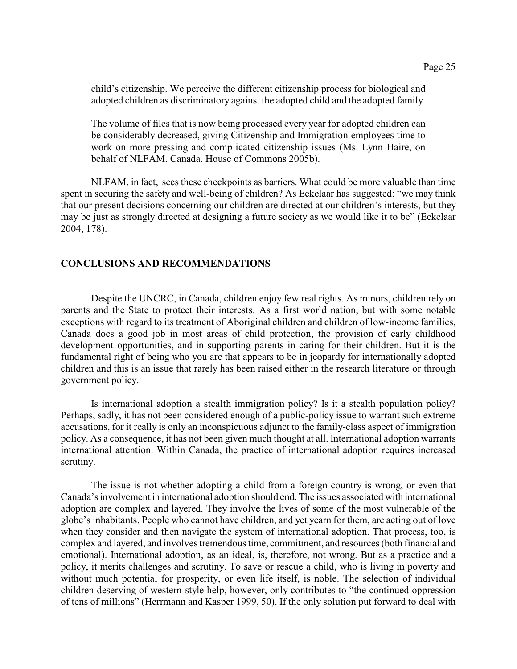child's citizenship. We perceive the different citizenship process for biological and adopted children as discriminatory against the adopted child and the adopted family.

The volume of files that is now being processed every year for adopted children can be considerably decreased, giving Citizenship and Immigration employees time to work on more pressing and complicated citizenship issues (Ms. Lynn Haire, on behalf of NLFAM. Canada. House of Commons 2005b).

NLFAM, in fact, sees these checkpoints as barriers. What could be more valuable than time spent in securing the safety and well-being of children? As Eekelaar has suggested: "we may think that our present decisions concerning our children are directed at our children's interests, but they may be just as strongly directed at designing a future society as we would like it to be" (Eekelaar 2004, 178).

# **CONCLUSIONS AND RECOMMENDATIONS**

Despite the UNCRC, in Canada, children enjoy few real rights. As minors, children rely on parents and the State to protect their interests. As a first world nation, but with some notable exceptions with regard to its treatment of Aboriginal children and children of low-income families, Canada does a good job in most areas of child protection, the provision of early childhood development opportunities, and in supporting parents in caring for their children. But it is the fundamental right of being who you are that appears to be in jeopardy for internationally adopted children and this is an issue that rarely has been raised either in the research literature or through government policy.

Is international adoption a stealth immigration policy? Is it a stealth population policy? Perhaps, sadly, it has not been considered enough of a public-policy issue to warrant such extreme accusations, for it really is only an inconspicuous adjunct to the family-class aspect of immigration policy. As a consequence, it has not been given much thought at all. International adoption warrants international attention. Within Canada, the practice of international adoption requires increased scrutiny.

The issue is not whether adopting a child from a foreign country is wrong, or even that Canada's involvement in international adoption should end. The issues associated with international adoption are complex and layered. They involve the lives of some of the most vulnerable of the globe's inhabitants. People who cannot have children, and yet yearn for them, are acting out of love when they consider and then navigate the system of international adoption. That process, too, is complex and layered, and involves tremendous time, commitment, and resources (both financial and emotional). International adoption, as an ideal, is, therefore, not wrong. But as a practice and a policy, it merits challenges and scrutiny. To save or rescue a child, who is living in poverty and without much potential for prosperity, or even life itself, is noble. The selection of individual children deserving of western-style help, however, only contributes to "the continued oppression of tens of millions" (Herrmann and Kasper 1999, 50). If the only solution put forward to deal with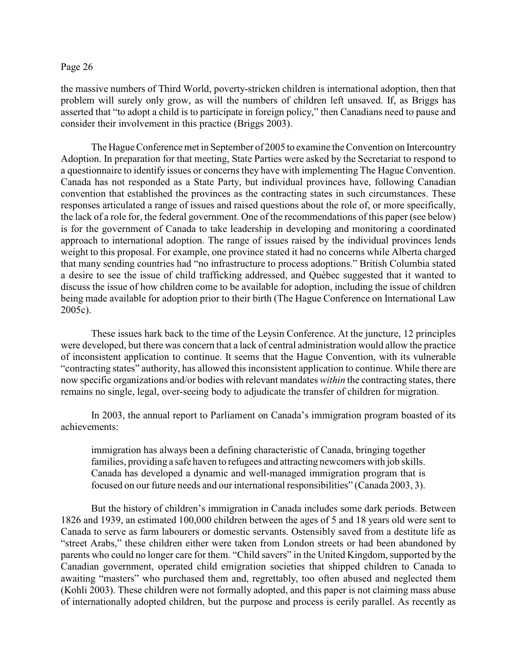the massive numbers of Third World, poverty-stricken children is international adoption, then that problem will surely only grow, as will the numbers of children left unsaved. If, as Briggs has asserted that "to adopt a child is to participate in foreign policy," then Canadians need to pause and consider their involvement in this practice (Briggs 2003).

The Hague Conference met in September of 2005 to examine the Convention on Intercountry Adoption. In preparation for that meeting, State Parties were asked by the Secretariat to respond to a questionnaire to identify issues or concerns they have with implementing The Hague Convention. Canada has not responded as a State Party, but individual provinces have, following Canadian convention that established the provinces as the contracting states in such circumstances. These responses articulated a range of issues and raised questions about the role of, or more specifically, the lack of a role for, the federal government. One of the recommendations of this paper (see below) is for the government of Canada to take leadership in developing and monitoring a coordinated approach to international adoption. The range of issues raised by the individual provinces lends weight to this proposal. For example, one province stated it had no concerns while Alberta charged that many sending countries had "no infrastructure to process adoptions." British Columbia stated a desire to see the issue of child trafficking addressed, and Québec suggested that it wanted to discuss the issue of how children come to be available for adoption, including the issue of children being made available for adoption prior to their birth (The Hague Conference on International Law 2005c).

These issues hark back to the time of the Leysin Conference. At the juncture, 12 principles were developed, but there was concern that a lack of central administration would allow the practice of inconsistent application to continue. It seems that the Hague Convention, with its vulnerable "contracting states" authority, has allowed this inconsistent application to continue. While there are now specific organizations and/or bodies with relevant mandates *within* the contracting states, there remains no single, legal, over-seeing body to adjudicate the transfer of children for migration.

In 2003, the annual report to Parliament on Canada's immigration program boasted of its achievements:

immigration has always been a defining characteristic of Canada, bringing together families, providing a safe haven to refugees and attracting newcomers with job skills. Canada has developed a dynamic and well-managed immigration program that is focused on our future needs and our international responsibilities" (Canada 2003, 3).

But the history of children's immigration in Canada includes some dark periods. Between 1826 and 1939, an estimated 100,000 children between the ages of 5 and 18 years old were sent to Canada to serve as farm labourers or domestic servants. Ostensibly saved from a destitute life as "street Arabs," these children either were taken from London streets or had been abandoned by parents who could no longer care for them. "Child savers" in the United Kingdom, supported by the Canadian government, operated child emigration societies that shipped children to Canada to awaiting "masters" who purchased them and, regrettably, too often abused and neglected them (Kohli 2003). These children were not formally adopted, and this paper is not claiming mass abuse of internationally adopted children, but the purpose and process is eerily parallel. As recently as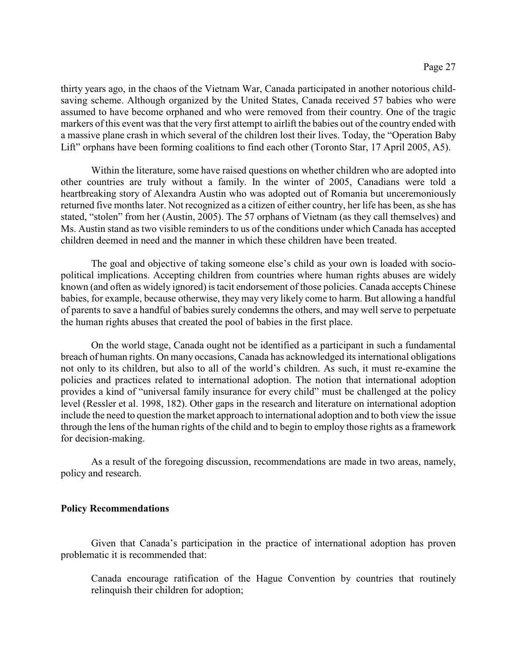thirty years ago, in the chaos of the Vietnam War, Canada participated in another notorious childsaving scheme. Although organized by the United States, Canada received 57 babies who were assumed to have become orphaned and who were removed from their country. One of the tragic markers of this event was that the very first attempt to airlift the babies out of the country ended with a massive plane crash in which several of the children lost their lives. Today, the "Operation Baby Lift" orphans have been forming coalitions to find each other (Toronto Star, 17 April 2005, A5).

Within the literature, some have raised questions on whether children who are adopted into other countries are truly without a family. In the winter of 2005, Canadians were told a heartbreaking story of Alexandra Austin who was adopted out of Romania but unceremoniously returned five months later. Not recognized as a citizen of either country, her life has been, as she has stated, "stolen" from her (Austin, 2005). The 57 orphans of Vietnam (as they call themselves) and Ms. Austin stand as two visible reminders to us of the conditions under which Canada has accepted children deemed in need and the manner in which these children have been treated.

The goal and objective of taking someone else's child as your own is loaded with sociopolitical implications. Accepting children from countries where human rights abuses are widely known (and often as widely ignored) is tacit endorsement of those policies. Canada accepts Chinese babies, for example, because otherwise, they may very likely come to harm. But allowing a handful of parents to save a handful of babies surely condemns the others, and may well serve to perpetuate the human rights abuses that created the pool of babies in the first place.

On the world stage, Canada ought not be identified as a participant in such a fundamental breach of human rights. On many occasions, Canada has acknowledged its international obligations not only to its children, but also to all of the world's children. As such, it must re-examine the policies and practices related to international adoption. The notion that international adoption provides a kind of "universal family insurance for every child" must be challenged at the policy level (Ressler et al. 1998, 182). Other gaps in the research and literature on international adoption include the need to question the market approach to international adoption and to both view the issue through the lens of the human rights of the child and to begin to employ those rights as a framework for decision-making.

As a result of the foregoing discussion, recommendations are made in two areas, namely, policy and research.

# **Policy Recommendations**

Given that Canada's participation in the practice of international adoption has proven problematic it is recommended that:

Canada encourage ratification of the Hague Convention by countries that routinely relinquish their children for adoption;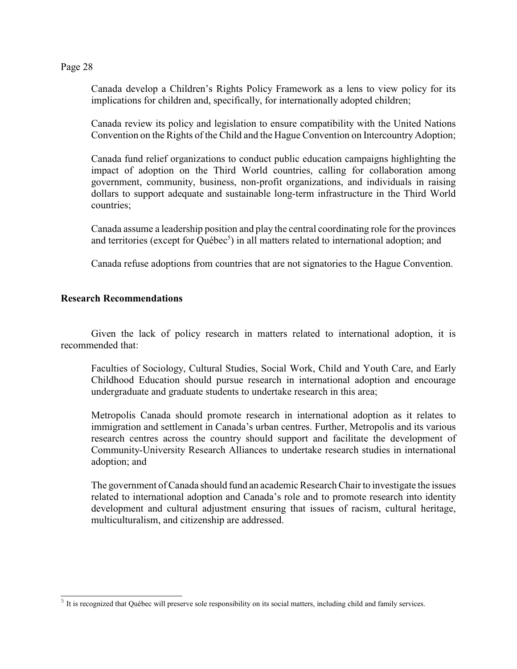Canada develop a Children's Rights Policy Framework as a lens to view policy for its implications for children and, specifically, for internationally adopted children;

Canada review its policy and legislation to ensure compatibility with the United Nations Convention on the Rights of the Child and the Hague Convention on Intercountry Adoption;

Canada fund relief organizations to conduct public education campaigns highlighting the impact of adoption on the Third World countries, calling for collaboration among government, community, business, non-profit organizations, and individuals in raising dollars to support adequate and sustainable long-term infrastructure in the Third World countries;

Canada assume a leadership position and play the central coordinating role for the provinces and territories (except for Québec<sup>5</sup>) in all matters related to international adoption; and

Canada refuse adoptions from countries that are not signatories to the Hague Convention.

# **Research Recommendations**

Given the lack of policy research in matters related to international adoption, it is recommended that:

Faculties of Sociology, Cultural Studies, Social Work, Child and Youth Care, and Early Childhood Education should pursue research in international adoption and encourage undergraduate and graduate students to undertake research in this area;

Metropolis Canada should promote research in international adoption as it relates to immigration and settlement in Canada's urban centres. Further, Metropolis and its various research centres across the country should support and facilitate the development of Community-University Research Alliances to undertake research studies in international adoption; and

The government of Canada should fund an academic Research Chair to investigate the issues related to international adoption and Canada's role and to promote research into identity development and cultural adjustment ensuring that issues of racism, cultural heritage, multiculturalism, and citizenship are addressed.

 $5$  It is recognized that Québec will preserve sole responsibility on its social matters, including child and family services.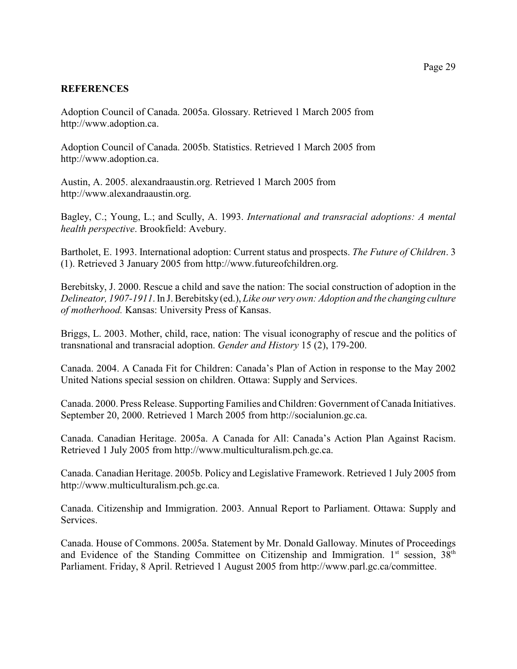# **REFERENCES**

Adoption Council of Canada. 2005a. Glossary. Retrieved 1 March 2005 from http://www.adoption.ca.

Adoption Council of Canada. 2005b. Statistics. Retrieved 1 March 2005 from http://www.adoption.ca.

Austin, A. 2005. alexandraaustin.org. Retrieved 1 March 2005 from http://www.alexandraaustin.org.

Bagley, C.; Young, L.; and Scully, A. 1993. *International and transracial adoptions: A mental health perspective*. Brookfield: Avebury.

Bartholet, E. 1993. International adoption: Current status and prospects. *The Future of Children*. 3 (1). Retrieved 3 January 2005 from http://www.futureofchildren.org.

Berebitsky, J. 2000. Rescue a child and save the nation: The social construction of adoption in the *Delineator, 1907-1911*. In J. Berebitsky (ed.), *Like our very own: Adoption and the changing culture of motherhood.* Kansas: University Press of Kansas.

Briggs, L. 2003. Mother, child, race, nation: The visual iconography of rescue and the politics of transnational and transracial adoption. *Gender and History* 15 (2), 179-200.

Canada. 2004. A Canada Fit for Children: Canada's Plan of Action in response to the May 2002 United Nations special session on children. Ottawa: Supply and Services.

Canada. 2000. Press Release. Supporting Families and Children: Government of Canada Initiatives. September 20, 2000. Retrieved 1 March 2005 from http://socialunion.gc.ca.

Canada. Canadian Heritage. 2005a. A Canada for All: Canada's Action Plan Against Racism. Retrieved 1 July 2005 from http://www.multiculturalism.pch.gc.ca.

Canada. Canadian Heritage. 2005b. Policy and Legislative Framework. Retrieved 1 July 2005 from http://www.multiculturalism.pch.gc.ca.

Canada. Citizenship and Immigration. 2003. Annual Report to Parliament. Ottawa: Supply and Services.

Canada. House of Commons. 2005a. Statement by Mr. Donald Galloway. Minutes of Proceedings and Evidence of the Standing Committee on Citizenship and Immigration.  $1<sup>st</sup>$  session,  $38<sup>th</sup>$ Parliament. Friday, 8 April. Retrieved 1 August 2005 from http://www.parl.gc.ca/committee.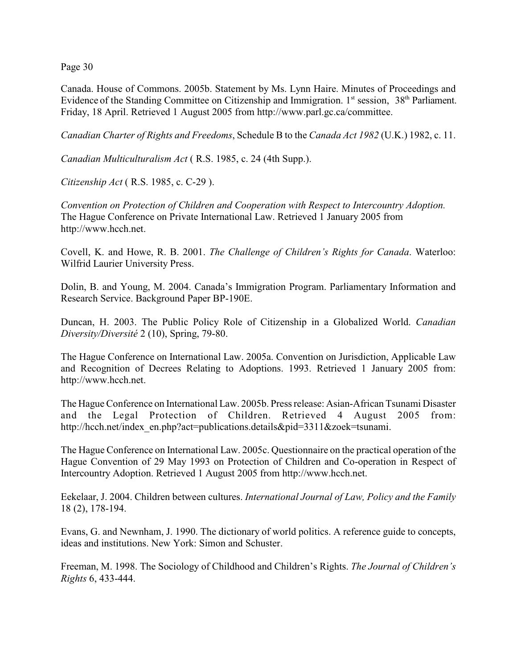Canada. House of Commons. 2005b. Statement by Ms. Lynn Haire. Minutes of Proceedings and Evidence of the Standing Committee on Citizenship and Immigration. 1<sup>st</sup> session, 38<sup>th</sup> Parliament. Friday, 18 April. Retrieved 1 August 2005 from http://www.parl.gc.ca/committee.

*Canadian Charter of Rights and Freedoms*, Schedule B to the *Canada Act 1982* (U.K.) 1982, c. 11.

*Canadian Multiculturalism Act* ( R.S. 1985, c. 24 (4th Supp.).

*Citizenship Act* ( R.S. 1985, c. C-29 ).

*Convention on Protection of Children and Cooperation with Respect to Intercountry Adoption.* The Hague Conference on Private International Law. Retrieved 1 January 2005 from http://www.hcch.net.

Covell, K. and Howe, R. B. 2001. *The Challenge of Children's Rights for Canada*. Waterloo: Wilfrid Laurier University Press.

Dolin, B. and Young, M. 2004. Canada's Immigration Program. Parliamentary Information and Research Service. Background Paper BP-190E.

Duncan, H. 2003. The Public Policy Role of Citizenship in a Globalized World. *Canadian Diversity/Diversité* 2 (10), Spring, 79-80.

The Hague Conference on International Law. 2005a. Convention on Jurisdiction, Applicable Law and Recognition of Decrees Relating to Adoptions. 1993. Retrieved 1 January 2005 from: http://www.hcch.net.

The Hague Conference on International Law. 2005b. Press release: Asian-African Tsunami Disaster and the Legal Protection of Children. Retrieved 4 August 2005 from: http://hcch.net/index\_en.php?act=publications.details&pid=3311&zoek=tsunami.

The Hague Conference on International Law. 2005c. Questionnaire on the practical operation of the Hague Convention of 29 May 1993 on Protection of Children and Co-operation in Respect of Intercountry Adoption. Retrieved 1 August 2005 from http://www.hcch.net.

Eekelaar, J. 2004. Children between cultures. *International Journal of Law, Policy and the Family* 18 (2), 178-194.

Evans, G. and Newnham, J. 1990. The dictionary of world politics. A reference guide to concepts, ideas and institutions. New York: Simon and Schuster.

Freeman, M. 1998. The Sociology of Childhood and Children's Rights. *The Journal of Children's Rights* 6, 433-444.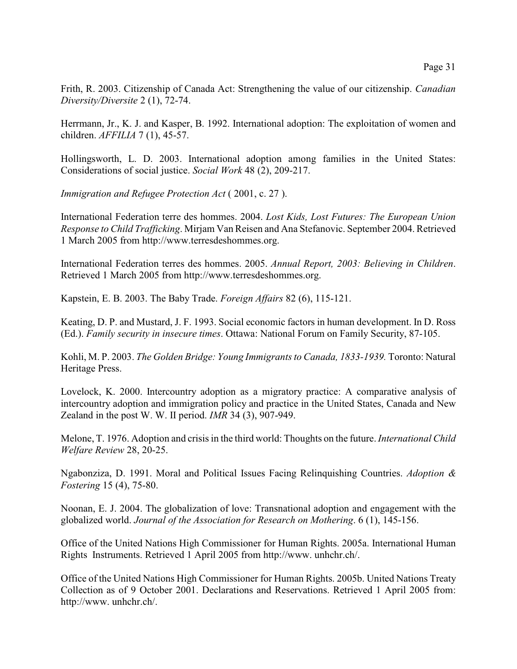Frith, R. 2003. Citizenship of Canada Act: Strengthening the value of our citizenship. *Canadian Diversity/Diversite* 2 (1), 72-74.

Herrmann, Jr., K. J. and Kasper, B. 1992. International adoption: The exploitation of women and children. *AFFILIA* 7 (1), 45-57.

Hollingsworth, L. D. 2003. International adoption among families in the United States: Considerations of social justice. *Social Work* 48 (2), 209-217.

*Immigration and Refugee Protection Act* ( 2001, c. 27 ).

International Federation terre des hommes. 2004. *Lost Kids, Lost Futures: The European Union Response to Child Trafficking*. Mirjam Van Reisen and Ana Stefanovic. September 2004. Retrieved 1 March 2005 from http://www.terresdeshommes.org.

International Federation terres des hommes. 2005. *Annual Report, 2003: Believing in Children*. Retrieved 1 March 2005 from http://www.terresdeshommes.org.

Kapstein, E. B. 2003. The Baby Trade. *Foreign Affairs* 82 (6), 115-121.

Keating, D. P. and Mustard, J. F. 1993. Social economic factors in human development. In D. Ross (Ed.). *Family security in insecure times*. Ottawa: National Forum on Family Security, 87-105.

Kohli, M. P. 2003. *The Golden Bridge: Young Immigrants to Canada, 1833-1939.* Toronto: Natural Heritage Press.

Lovelock, K. 2000. Intercountry adoption as a migratory practice: A comparative analysis of intercountry adoption and immigration policy and practice in the United States, Canada and New Zealand in the post W. W. II period. *IMR* 34 (3), 907-949.

Melone, T. 1976. Adoption and crisis in the third world: Thoughts on the future. *International Child Welfare Review* 28, 20-25.

Ngabonziza, D. 1991. Moral and Political Issues Facing Relinquishing Countries. *Adoption & Fostering* 15 (4), 75-80.

Noonan, E. J. 2004. The globalization of love: Transnational adoption and engagement with the globalized world. *Journal of the Association for Research on Mothering*. 6 (1), 145-156.

Office of the United Nations High Commissioner for Human Rights. 2005a. International Human Rights Instruments. Retrieved 1 April 2005 from http://www. unhchr.ch/.

Office of the United Nations High Commissioner for Human Rights. 2005b. United Nations Treaty Collection as of 9 October 2001. Declarations and Reservations. Retrieved 1 April 2005 from: http://www. unhchr.ch/.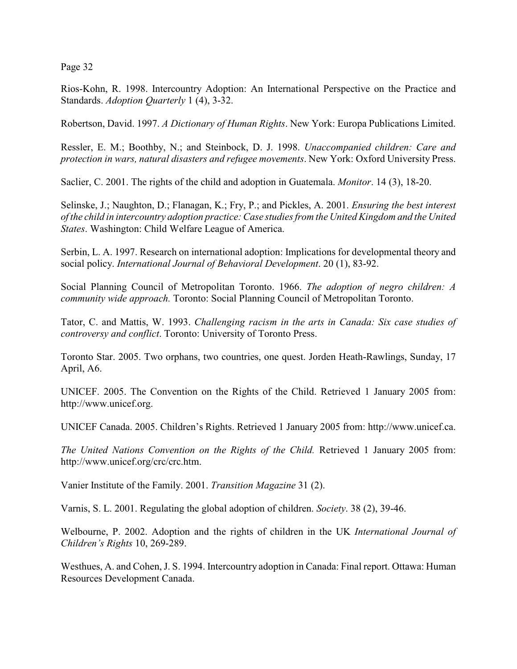Rios-Kohn, R. 1998. Intercountry Adoption: An International Perspective on the Practice and Standards. *Adoption Quarterly* 1 (4), 3-32.

Robertson, David. 1997. *A Dictionary of Human Rights*. New York: Europa Publications Limited.

Ressler, E. M.; Boothby, N.; and Steinbock, D. J. 1998. *Unaccompanied children: Care and protection in wars, natural disasters and refugee movements*. New York: Oxford University Press.

Saclier, C. 2001. The rights of the child and adoption in Guatemala. *Monitor*. 14 (3), 18-20.

Selinske, J.; Naughton, D.; Flanagan, K.; Fry, P.; and Pickles, A. 2001. *Ensuring the best interest of the child in intercountry adoption practice: Case studies from the United Kingdom and the United States*. Washington: Child Welfare League of America.

Serbin, L. A. 1997. Research on international adoption: Implications for developmental theory and social policy. *International Journal of Behavioral Development*. 20 (1), 83-92.

Social Planning Council of Metropolitan Toronto. 1966. *The adoption of negro children: A community wide approach.* Toronto: Social Planning Council of Metropolitan Toronto.

Tator, C. and Mattis, W. 1993. *Challenging racism in the arts in Canada: Six case studies of controversy and conflict*. Toronto: University of Toronto Press.

Toronto Star. 2005. Two orphans, two countries, one quest. Jorden Heath-Rawlings, Sunday, 17 April, A6.

UNICEF. 2005. The Convention on the Rights of the Child. Retrieved 1 January 2005 from: http://www.unicef.org.

UNICEF Canada. 2005. Children's Rights. Retrieved 1 January 2005 from: http://www.unicef.ca.

*The United Nations Convention on the Rights of the Child.* Retrieved 1 January 2005 from: http://www.unicef.org/crc/crc.htm.

Vanier Institute of the Family. 2001. *Transition Magazine* 31 (2).

Varnis, S. L. 2001. Regulating the global adoption of children. *Society*. 38 (2), 39-46.

Welbourne, P. 2002. Adoption and the rights of children in the UK *International Journal of Children's Rights* 10, 269-289.

Westhues, A. and Cohen, J. S. 1994. Intercountry adoption in Canada: Final report. Ottawa: Human Resources Development Canada.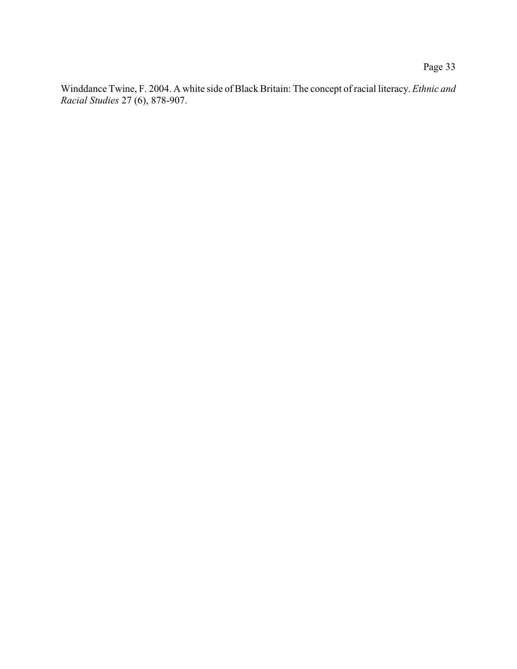Winddance Twine, F. 2004. A white side of Black Britain: The concept of racial literacy. *Ethnic and Racial Studies* 27 (6), 878-907.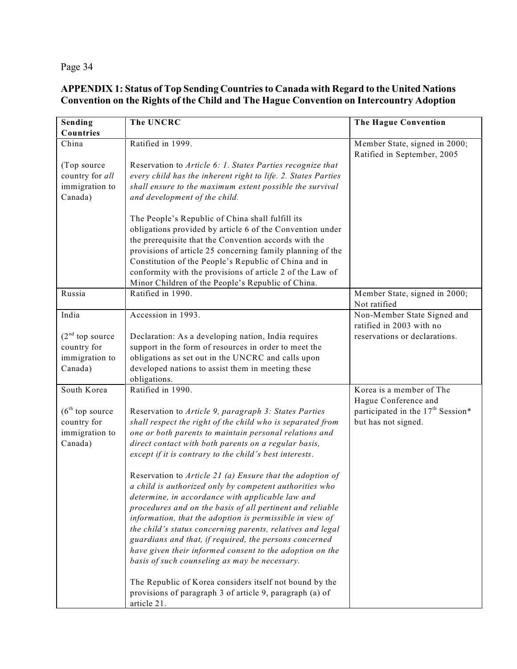# **APPENDIX 1: Status of Top Sending Countries to Canada with Regard to the United Nations Convention on the Rights of the Child and The Hague Convention on Intercountry Adoption**

| Sending           | <b>The UNCRC</b>                                              | The Hague Convention                                         |
|-------------------|---------------------------------------------------------------|--------------------------------------------------------------|
| Countries         |                                                               |                                                              |
| China             | Ratified in 1999.                                             | Member State, signed in 2000;<br>Ratified in September, 2005 |
| (Top source       | Reservation to Article 6: 1. States Parties recognize that    |                                                              |
| country for all   | every child has the inherent right to life. 2. States Parties |                                                              |
| immigration to    | shall ensure to the maximum extent possible the survival      |                                                              |
| Canada)           | and development of the child.                                 |                                                              |
|                   |                                                               |                                                              |
|                   | The People's Republic of China shall fulfill its              |                                                              |
|                   | obligations provided by article 6 of the Convention under     |                                                              |
|                   | the prerequisite that the Convention accords with the         |                                                              |
|                   | provisions of article 25 concerning family planning of the    |                                                              |
|                   | Constitution of the People's Republic of China and in         |                                                              |
|                   | conformity with the provisions of article 2 of the Law of     |                                                              |
|                   | Minor Children of the People's Republic of China.             |                                                              |
| Russia            | Ratified in 1990.                                             | Member State, signed in 2000;                                |
|                   |                                                               | Not ratified                                                 |
| India             | Accession in 1993.                                            | Non-Member State Signed and                                  |
|                   |                                                               | ratified in 2003 with no                                     |
| $(2nd$ top source | Declaration: As a developing nation, India requires           | reservations or declarations.                                |
| country for       | support in the form of resources in order to meet the         |                                                              |
| immigration to    | obligations as set out in the UNCRC and calls upon            |                                                              |
| Canada)           | developed nations to assist them in meeting these             |                                                              |
|                   | obligations.                                                  |                                                              |
| South Korea       | Ratified in 1990.                                             | Korea is a member of The<br>Hague Conference and             |
| $(6th$ top source | Reservation to Article 9, paragraph 3: States Parties         | participated in the 17 <sup>th</sup> Session*                |
| country for       | shall respect the right of the child who is separated from    | but has not signed.                                          |
| immigration to    | one or both parents to maintain personal relations and        |                                                              |
| Canada)           | direct contact with both parents on a regular basis,          |                                                              |
|                   | except if it is contrary to the child's best interests.       |                                                              |
|                   | Reservation to Article 21 (a) Ensure that the adoption of     |                                                              |
|                   | a child is authorized only by competent authorities who       |                                                              |
|                   | determine, in accordance with applicable law and              |                                                              |
|                   | procedures and on the basis of all pertinent and reliable     |                                                              |
|                   | information, that the adoption is permissible in view of      |                                                              |
|                   | the child's status concerning parents, relatives and legal    |                                                              |
|                   | guardians and that, if required, the persons concerned        |                                                              |
|                   | have given their informed consent to the adoption on the      |                                                              |
|                   | basis of such counseling as may be necessary.                 |                                                              |
|                   | The Republic of Korea considers itself not bound by the       |                                                              |
|                   | provisions of paragraph 3 of article 9, paragraph (a) of      |                                                              |
|                   |                                                               |                                                              |
|                   | article 21.                                                   |                                                              |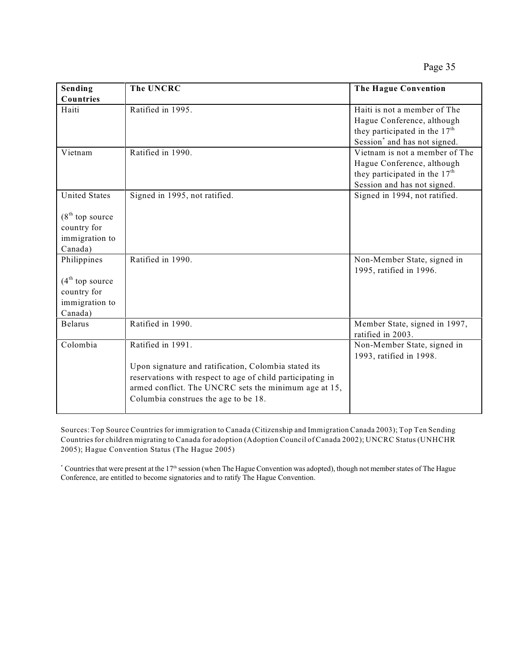Page 35

| Sending              | The UNCRC                                                  | The Hague Convention                                   |
|----------------------|------------------------------------------------------------|--------------------------------------------------------|
| Countries            |                                                            |                                                        |
| Haiti                | Ratified in 1995.                                          | Haiti is not a member of The                           |
|                      |                                                            | Hague Conference, although                             |
|                      |                                                            | they participated in the 17 <sup>th</sup>              |
|                      |                                                            | Session <sup>*</sup> and has not signed.               |
| Vietnam              | Ratified in 1990.                                          | Vietnam is not a member of The                         |
|                      |                                                            | Hague Conference, although                             |
|                      |                                                            | they participated in the 17 <sup>th</sup>              |
|                      |                                                            | Session and has not signed.                            |
| <b>United States</b> | Signed in 1995, not ratified.                              | Signed in 1994, not ratified.                          |
|                      |                                                            |                                                        |
| $(8th$ top source    |                                                            |                                                        |
| country for          |                                                            |                                                        |
| immigration to       |                                                            |                                                        |
| Canada)              |                                                            |                                                        |
| Philippines          | Ratified in 1990.                                          | Non-Member State, signed in<br>1995, ratified in 1996. |
| $(4th$ top source    |                                                            |                                                        |
| country for          |                                                            |                                                        |
| immigration to       |                                                            |                                                        |
| Canada)              |                                                            |                                                        |
| <b>Belarus</b>       | Ratified in 1990.                                          | Member State, signed in 1997,                          |
|                      |                                                            | ratified in 2003.                                      |
| Colombia             | Ratified in 1991.                                          | Non-Member State, signed in<br>1993, ratified in 1998. |
|                      | Upon signature and ratification, Colombia stated its       |                                                        |
|                      | reservations with respect to age of child participating in |                                                        |
|                      | armed conflict. The UNCRC sets the minimum age at 15,      |                                                        |
|                      | Columbia construes the age to be 18.                       |                                                        |
|                      |                                                            |                                                        |

Sources: Top Source Countries for immigration to Canada (Citizenship and Immigration Canada 2003); Top Ten Sending Countries for children migrating to Canada for adoption (Adoption Council of Canada 2002); UNCRC Status (UNHCHR 2005); Hague Convention Status (The Hague 2005)

 $*$  Countries that were present at the 17<sup>th</sup> session (when The Hague Convention was adopted), though not member states of The Hague Conference, are entitled to become signatories and to ratify The Hague Convention.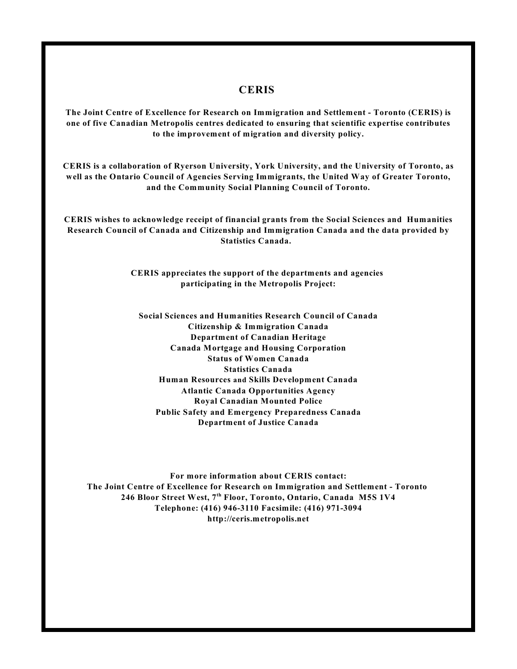# **CERIS**

**The Joint Centre of Excellence for Research on Immigration and Settlement - Toronto (CERIS) is one of five Canadian Metropolis centres dedicated to ensuring that scientific expertise contributes to the improvement of migration and diversity policy.**

**CERIS is a collaboration of Ryerson University, York University, and the University of Toronto, as well as the Ontario Council of Agencies Serving Immigrants, the United Way of Greater Toronto, and the Community Social Planning Council of Toronto.**

**CERIS wishes to acknowledge receipt of financial grants from the Social Sciences and Humanities Research Council of Canada and Citizenship and Immigration Canada and the data provided by Statistics Canada.** 

> **CERIS appreciates the support of the departments and agencies participating in the Metropolis Project:**

**Social Sciences and Humanities Research Council of Canada Citizenship & Immigration Canada Department of Canadian Heritage Canada Mortgage and Housing Corporation Status of Women Canada Statistics Canada Human Resources and Skills Development Canada Atlantic Canada Opportunities Agency Royal Canadian Mounted Police Public Safety and Emergency Preparedness Canada Department of Justice Canada**

**For more information about CERIS contact: The Joint Centre of Excellence for Research on Immigration and Settlement - Toronto**  246 Bloor Street West, 7<sup>th</sup> Floor, Toronto, Ontario, Canada M5S 1V4 **Telephone: (416) 946-3110 Facsimile: (416) 971-3094 http://ceris.metropolis.net**